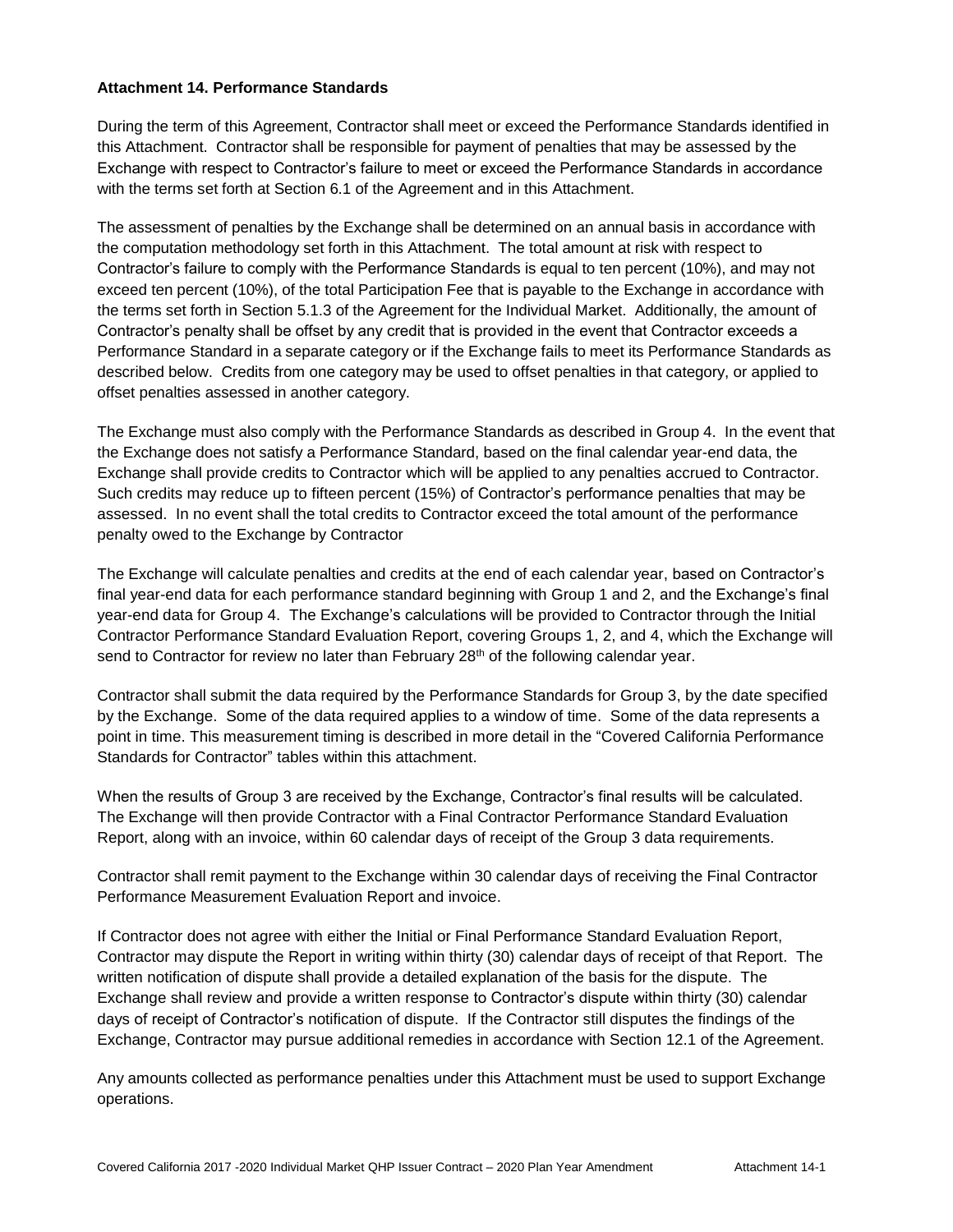#### **Attachment 14. Performance Standards**

During the term of this Agreement, Contractor shall meet or exceed the Performance Standards identified in this Attachment. Contractor shall be responsible for payment of penalties that may be assessed by the Exchange with respect to Contractor's failure to meet or exceed the Performance Standards in accordance with the terms set forth at Section 6.1 of the Agreement and in this Attachment.

The assessment of penalties by the Exchange shall be determined on an annual basis in accordance with the computation methodology set forth in this Attachment. The total amount at risk with respect to Contractor's failure to comply with the Performance Standards is equal to ten percent (10%), and may not exceed ten percent (10%), of the total Participation Fee that is payable to the Exchange in accordance with the terms set forth in Section 5.1.3 of the Agreement for the Individual Market. Additionally, the amount of Contractor's penalty shall be offset by any credit that is provided in the event that Contractor exceeds a Performance Standard in a separate category or if the Exchange fails to meet its Performance Standards as described below. Credits from one category may be used to offset penalties in that category, or applied to offset penalties assessed in another category.

The Exchange must also comply with the Performance Standards as described in Group 4. In the event that the Exchange does not satisfy a Performance Standard, based on the final calendar year-end data, the Exchange shall provide credits to Contractor which will be applied to any penalties accrued to Contractor. Such credits may reduce up to fifteen percent (15%) of Contractor's performance penalties that may be assessed. In no event shall the total credits to Contractor exceed the total amount of the performance penalty owed to the Exchange by Contractor

The Exchange will calculate penalties and credits at the end of each calendar year, based on Contractor's final year-end data for each performance standard beginning with Group 1 and 2, and the Exchange's final year-end data for Group 4. The Exchange's calculations will be provided to Contractor through the Initial Contractor Performance Standard Evaluation Report, covering Groups 1, 2, and 4, which the Exchange will send to Contractor for review no later than February  $28<sup>th</sup>$  of the following calendar year.

Contractor shall submit the data required by the Performance Standards for Group 3, by the date specified by the Exchange. Some of the data required applies to a window of time. Some of the data represents a point in time. This measurement timing is described in more detail in the "Covered California Performance Standards for Contractor" tables within this attachment.

When the results of Group 3 are received by the Exchange, Contractor's final results will be calculated. The Exchange will then provide Contractor with a Final Contractor Performance Standard Evaluation Report, along with an invoice, within 60 calendar days of receipt of the Group 3 data requirements.

Contractor shall remit payment to the Exchange within 30 calendar days of receiving the Final Contractor Performance Measurement Evaluation Report and invoice.

If Contractor does not agree with either the Initial or Final Performance Standard Evaluation Report, Contractor may dispute the Report in writing within thirty (30) calendar days of receipt of that Report. The written notification of dispute shall provide a detailed explanation of the basis for the dispute. The Exchange shall review and provide a written response to Contractor's dispute within thirty (30) calendar days of receipt of Contractor's notification of dispute. If the Contractor still disputes the findings of the Exchange, Contractor may pursue additional remedies in accordance with Section 12.1 of the Agreement.

Any amounts collected as performance penalties under this Attachment must be used to support Exchange operations.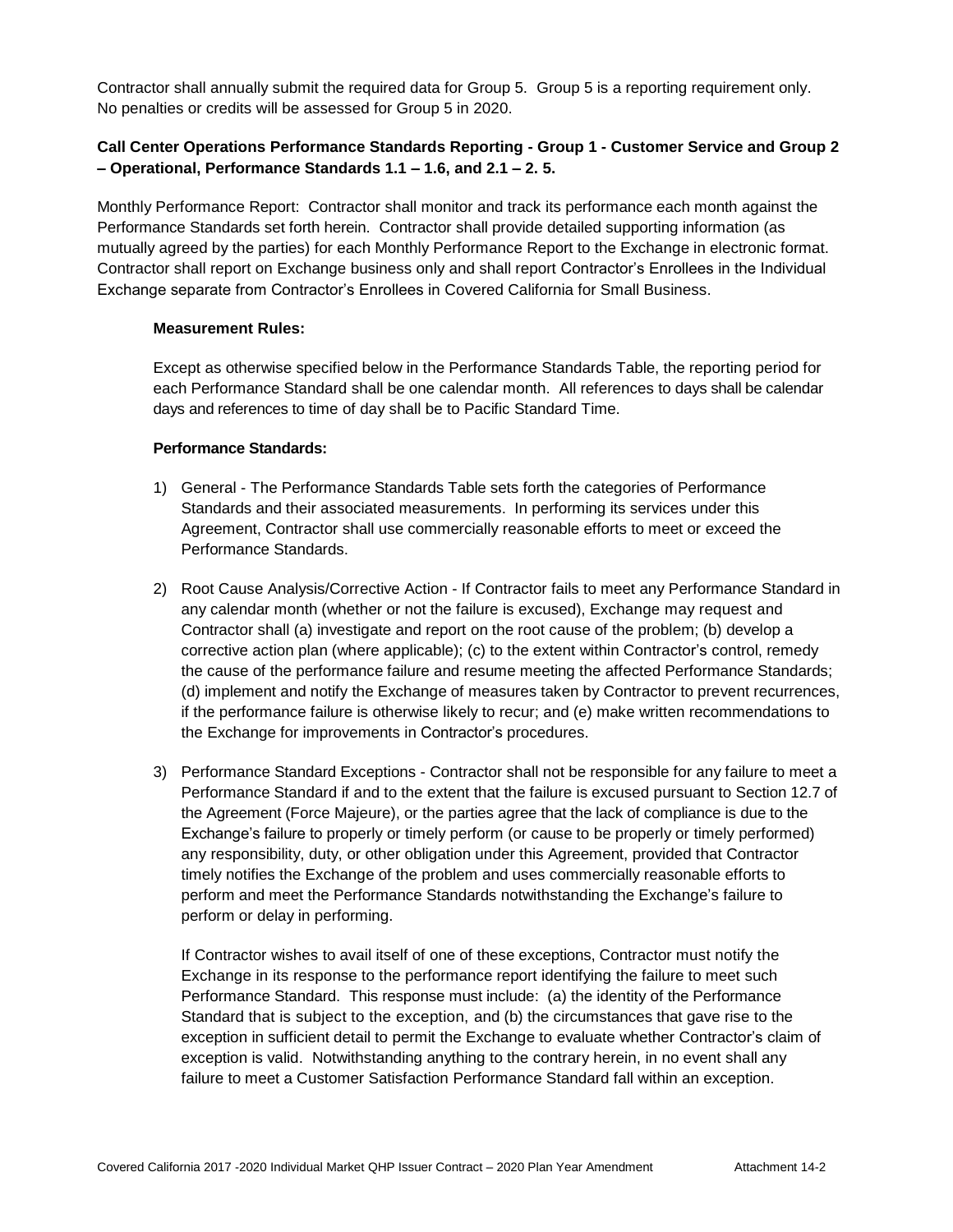Contractor shall annually submit the required data for Group 5. Group 5 is a reporting requirement only. No penalties or credits will be assessed for Group 5 in 2020.

#### **Call Center Operations Performance Standards Reporting - Group 1 - Customer Service and Group 2 – Operational, Performance Standards 1.1 – 1.6, and 2.1 – 2. 5.**

Monthly Performance Report: Contractor shall monitor and track its performance each month against the Performance Standards set forth herein. Contractor shall provide detailed supporting information (as mutually agreed by the parties) for each Monthly Performance Report to the Exchange in electronic format. Contractor shall report on Exchange business only and shall report Contractor's Enrollees in the Individual Exchange separate from Contractor's Enrollees in Covered California for Small Business.

#### **Measurement Rules:**

Except as otherwise specified below in the Performance Standards Table, the reporting period for each Performance Standard shall be one calendar month. All references to days shall be calendar days and references to time of day shall be to Pacific Standard Time.

#### **Performance Standards:**

- 1) General The Performance Standards Table sets forth the categories of Performance Standards and their associated measurements. In performing its services under this Agreement, Contractor shall use commercially reasonable efforts to meet or exceed the Performance Standards.
- 2) Root Cause Analysis/Corrective Action If Contractor fails to meet any Performance Standard in any calendar month (whether or not the failure is excused), Exchange may request and Contractor shall (a) investigate and report on the root cause of the problem; (b) develop a corrective action plan (where applicable); (c) to the extent within Contractor's control, remedy the cause of the performance failure and resume meeting the affected Performance Standards; (d) implement and notify the Exchange of measures taken by Contractor to prevent recurrences, if the performance failure is otherwise likely to recur; and (e) make written recommendations to the Exchange for improvements in Contractor's procedures.
- 3) Performance Standard Exceptions Contractor shall not be responsible for any failure to meet a Performance Standard if and to the extent that the failure is excused pursuant to Section 12.7 of the Agreement (Force Majeure), or the parties agree that the lack of compliance is due to the Exchange's failure to properly or timely perform (or cause to be properly or timely performed) any responsibility, duty, or other obligation under this Agreement, provided that Contractor timely notifies the Exchange of the problem and uses commercially reasonable efforts to perform and meet the Performance Standards notwithstanding the Exchange's failure to perform or delay in performing.

If Contractor wishes to avail itself of one of these exceptions, Contractor must notify the Exchange in its response to the performance report identifying the failure to meet such Performance Standard. This response must include: (a) the identity of the Performance Standard that is subject to the exception, and (b) the circumstances that gave rise to the exception in sufficient detail to permit the Exchange to evaluate whether Contractor's claim of exception is valid. Notwithstanding anything to the contrary herein, in no event shall any failure to meet a Customer Satisfaction Performance Standard fall within an exception.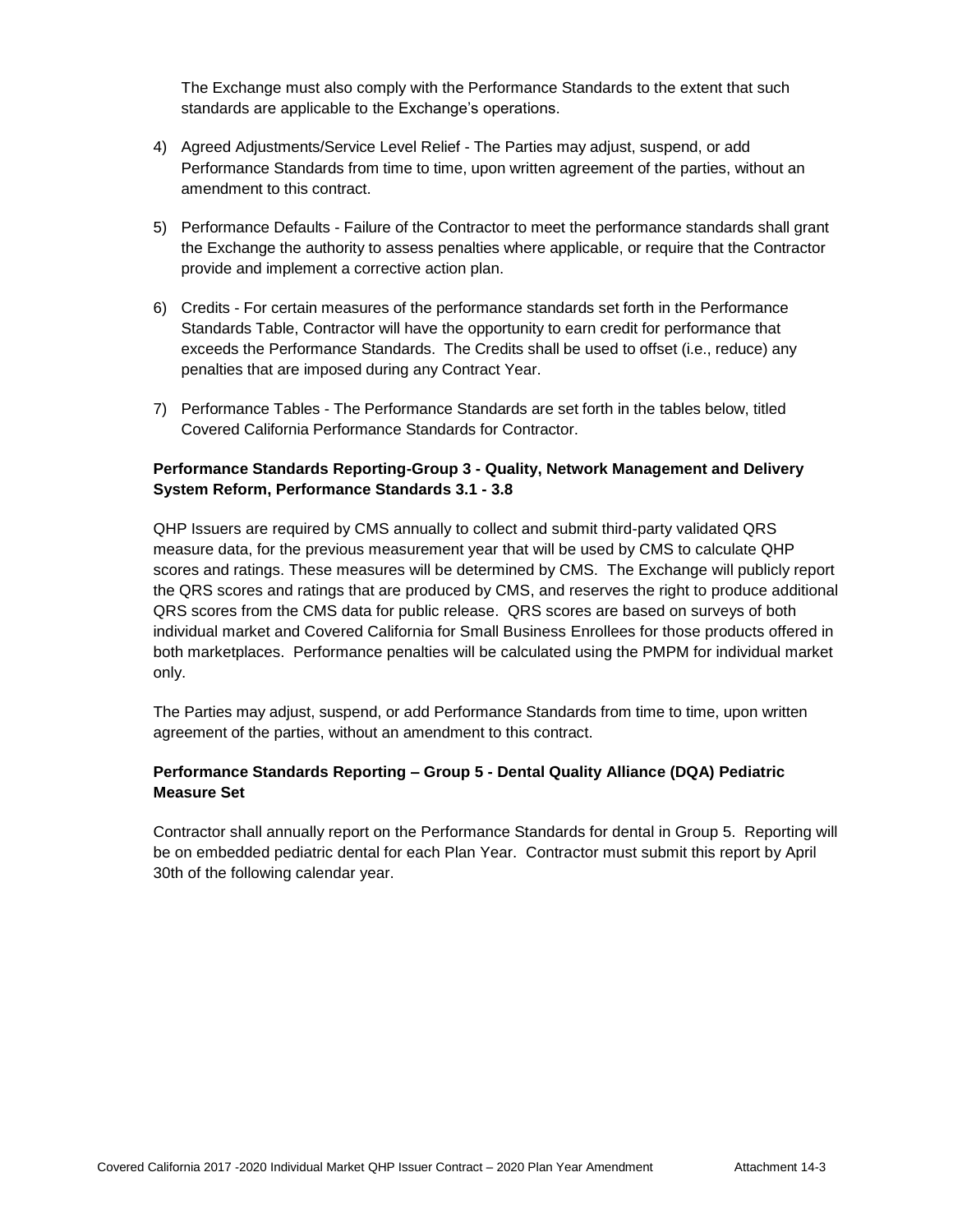The Exchange must also comply with the Performance Standards to the extent that such standards are applicable to the Exchange's operations.

- 4) Agreed Adjustments/Service Level Relief The Parties may adjust, suspend, or add Performance Standards from time to time, upon written agreement of the parties, without an amendment to this contract.
- 5) Performance Defaults Failure of the Contractor to meet the performance standards shall grant the Exchange the authority to assess penalties where applicable, or require that the Contractor provide and implement a corrective action plan.
- 6) Credits For certain measures of the performance standards set forth in the Performance Standards Table, Contractor will have the opportunity to earn credit for performance that exceeds the Performance Standards. The Credits shall be used to offset (i.e., reduce) any penalties that are imposed during any Contract Year.
- 7) Performance Tables The Performance Standards are set forth in the tables below, titled Covered California Performance Standards for Contractor.

#### **Performance Standards Reporting-Group 3 - Quality, Network Management and Delivery System Reform, Performance Standards 3.1 - 3.8**

QHP Issuers are required by CMS annually to collect and submit third-party validated QRS measure data, for the previous measurement year that will be used by CMS to calculate QHP scores and ratings. These measures will be determined by CMS. The Exchange will publicly report the QRS scores and ratings that are produced by CMS, and reserves the right to produce additional QRS scores from the CMS data for public release. QRS scores are based on surveys of both individual market and Covered California for Small Business Enrollees for those products offered in both marketplaces. Performance penalties will be calculated using the PMPM for individual market only.

The Parties may adjust, suspend, or add Performance Standards from time to time, upon written agreement of the parties, without an amendment to this contract.

#### **Performance Standards Reporting – Group 5 - Dental Quality Alliance (DQA) Pediatric Measure Set**

Contractor shall annually report on the Performance Standards for dental in Group 5. Reporting will be on embedded pediatric dental for each Plan Year. Contractor must submit this report by April 30th of the following calendar year.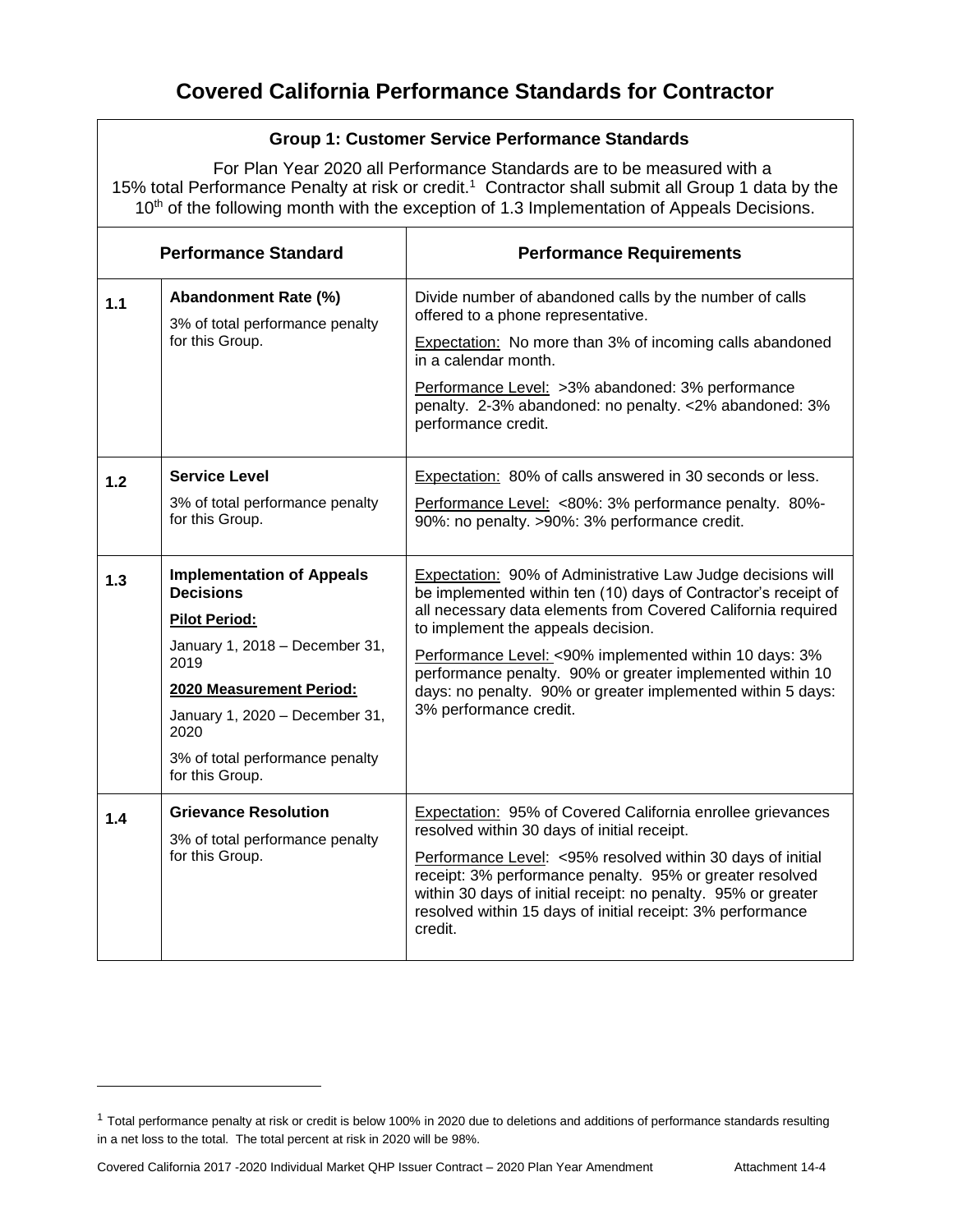## **Group 1: Customer Service Performance Standards**

For Plan Year 2020 all Performance Standards are to be measured with a 15% total Performance Penalty at risk or credit.<sup>1</sup> Contractor shall submit all Group 1 data by the 10<sup>th</sup> of the following month with the exception of 1.3 Implementation of Appeals Decisions.

| <b>Performance Standard</b> |                                                                                                                                                                                                                                                    | <b>Performance Requirements</b>                                                                                                                                                                                                                                                                                                                                                                                                                            |  |
|-----------------------------|----------------------------------------------------------------------------------------------------------------------------------------------------------------------------------------------------------------------------------------------------|------------------------------------------------------------------------------------------------------------------------------------------------------------------------------------------------------------------------------------------------------------------------------------------------------------------------------------------------------------------------------------------------------------------------------------------------------------|--|
| 1.1                         | Abandonment Rate (%)<br>3% of total performance penalty<br>for this Group.                                                                                                                                                                         | Divide number of abandoned calls by the number of calls<br>offered to a phone representative.<br>Expectation: No more than 3% of incoming calls abandoned<br>in a calendar month.<br>Performance Level: >3% abandoned: 3% performance<br>penalty. 2-3% abandoned: no penalty. <2% abandoned: 3%<br>performance credit.                                                                                                                                     |  |
| 1.2                         | <b>Service Level</b><br>3% of total performance penalty<br>for this Group.                                                                                                                                                                         | Expectation: 80% of calls answered in 30 seconds or less.<br>Performance Level: <80%: 3% performance penalty. 80%-<br>90%: no penalty. >90%: 3% performance credit.                                                                                                                                                                                                                                                                                        |  |
| 1.3                         | <b>Implementation of Appeals</b><br><b>Decisions</b><br><b>Pilot Period:</b><br>January 1, 2018 - December 31,<br>2019<br>2020 Measurement Period:<br>January 1, 2020 - December 31,<br>2020<br>3% of total performance penalty<br>for this Group. | <b>Expectation: 90% of Administrative Law Judge decisions will</b><br>be implemented within ten (10) days of Contractor's receipt of<br>all necessary data elements from Covered California required<br>to implement the appeals decision.<br>Performance Level: <90% implemented within 10 days: 3%<br>performance penalty. 90% or greater implemented within 10<br>days: no penalty. 90% or greater implemented within 5 days:<br>3% performance credit. |  |
| 1.4                         | <b>Grievance Resolution</b><br>3% of total performance penalty<br>for this Group.                                                                                                                                                                  | Expectation: 95% of Covered California enrollee grievances<br>resolved within 30 days of initial receipt.<br>Performance Level: <95% resolved within 30 days of initial<br>receipt: 3% performance penalty. 95% or greater resolved<br>within 30 days of initial receipt: no penalty. 95% or greater<br>resolved within 15 days of initial receipt: 3% performance<br>credit.                                                                              |  |

<sup>&</sup>lt;sup>1</sup> Total performance penalty at risk or credit is below 100% in 2020 due to deletions and additions of performance standards resulting in a net loss to the total. The total percent at risk in 2020 will be 98%.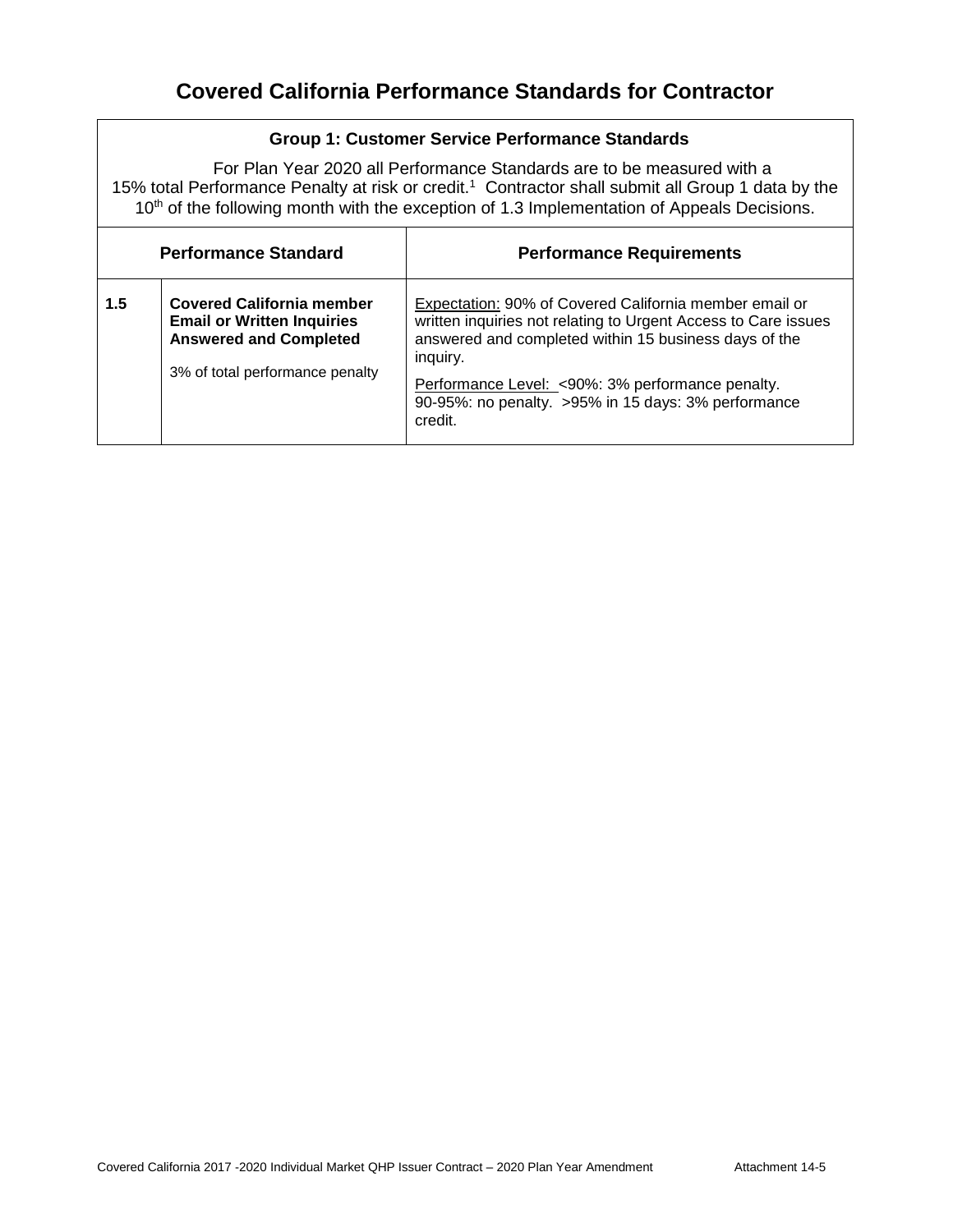## **Group 1: Customer Service Performance Standards**

For Plan Year 2020 all Performance Standards are to be measured with a 15% total Performance Penalty at risk or credit.<sup>1</sup> Contractor shall submit all Group 1 data by the 10<sup>th</sup> of the following month with the exception of 1.3 Implementation of Appeals Decisions.

| <b>Performance Standard</b> |                                                                                                                                           | <b>Performance Requirements</b>                                                                                                                                                                                                                                                                                     |  |
|-----------------------------|-------------------------------------------------------------------------------------------------------------------------------------------|---------------------------------------------------------------------------------------------------------------------------------------------------------------------------------------------------------------------------------------------------------------------------------------------------------------------|--|
| 1.5                         | <b>Covered California member</b><br><b>Email or Written Inquiries</b><br><b>Answered and Completed</b><br>3% of total performance penalty | Expectation: 90% of Covered California member email or<br>written inquiries not relating to Urgent Access to Care issues<br>answered and completed within 15 business days of the<br>inguiry.<br>Performance Level: <90%: 3% performance penalty.<br>90-95%: no penalty. >95% in 15 days: 3% performance<br>credit. |  |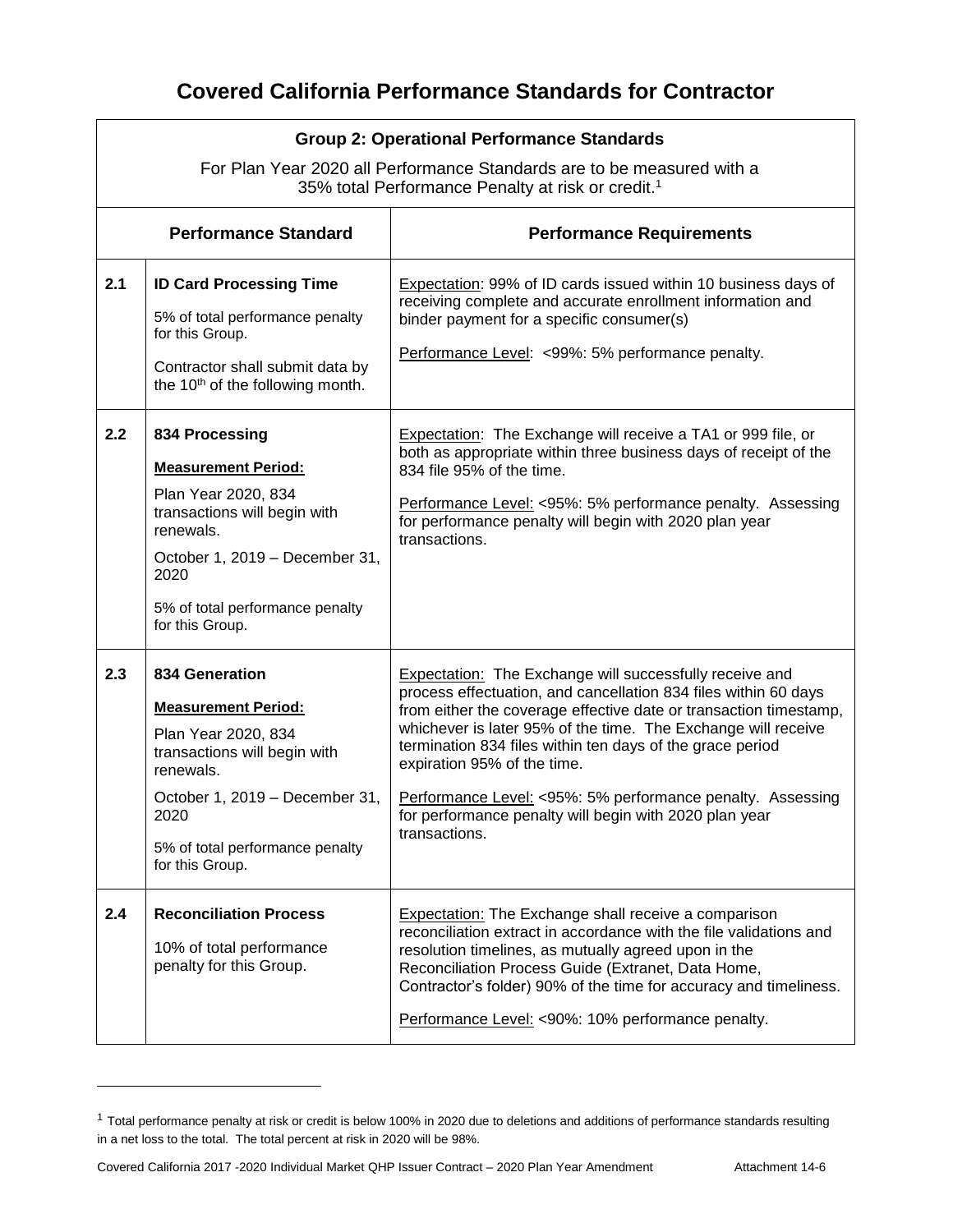|     | <b>Group 2: Operational Performance Standards</b><br>For Plan Year 2020 all Performance Standards are to be measured with a<br>35% total Performance Penalty at risk or credit. <sup>1</sup>                     |                                                                                                                                                                                                                                                                                                                                                                                                                                                                                                              |  |  |
|-----|------------------------------------------------------------------------------------------------------------------------------------------------------------------------------------------------------------------|--------------------------------------------------------------------------------------------------------------------------------------------------------------------------------------------------------------------------------------------------------------------------------------------------------------------------------------------------------------------------------------------------------------------------------------------------------------------------------------------------------------|--|--|
|     | <b>Performance Standard</b>                                                                                                                                                                                      | <b>Performance Requirements</b>                                                                                                                                                                                                                                                                                                                                                                                                                                                                              |  |  |
| 2.1 | <b>ID Card Processing Time</b><br>5% of total performance penalty<br>for this Group.<br>Contractor shall submit data by<br>the 10 <sup>th</sup> of the following month.                                          | Expectation: 99% of ID cards issued within 10 business days of<br>receiving complete and accurate enrollment information and<br>binder payment for a specific consumer(s)<br>Performance Level: <99%: 5% performance penalty.                                                                                                                                                                                                                                                                                |  |  |
| 2.2 | 834 Processing<br><b>Measurement Period:</b><br>Plan Year 2020, 834<br>transactions will begin with<br>renewals.<br>October 1, 2019 - December 31,<br>2020<br>5% of total performance penalty<br>for this Group. | <b>Expectation:</b> The Exchange will receive a TA1 or 999 file, or<br>both as appropriate within three business days of receipt of the<br>834 file 95% of the time.<br>Performance Level: <95%: 5% performance penalty. Assessing<br>for performance penalty will begin with 2020 plan year<br>transactions.                                                                                                                                                                                                |  |  |
| 2.3 | 834 Generation<br><b>Measurement Period:</b><br>Plan Year 2020, 834<br>transactions will begin with<br>renewals.<br>October 1, 2019 - December 31,<br>2020<br>5% of total performance penalty<br>for this Group. | <b>Expectation:</b> The Exchange will successfully receive and<br>process effectuation, and cancellation 834 files within 60 days<br>from either the coverage effective date or transaction timestamp,<br>whichever is later 95% of the time. The Exchange will receive<br>termination 834 files within ten days of the grace period<br>expiration 95% of the time.<br>Performance Level: <95%: 5% performance penalty. Assessing<br>for performance penalty will begin with 2020 plan year<br>transactions. |  |  |
| 2.4 | <b>Reconciliation Process</b><br>10% of total performance<br>penalty for this Group.                                                                                                                             | <b>Expectation:</b> The Exchange shall receive a comparison<br>reconciliation extract in accordance with the file validations and<br>resolution timelines, as mutually agreed upon in the<br>Reconciliation Process Guide (Extranet, Data Home,<br>Contractor's folder) 90% of the time for accuracy and timeliness.<br>Performance Level: <90%: 10% performance penalty.                                                                                                                                    |  |  |

<sup>&</sup>lt;sup>1</sup> Total performance penalty at risk or credit is below 100% in 2020 due to deletions and additions of performance standards resulting in a net loss to the total. The total percent at risk in 2020 will be 98%.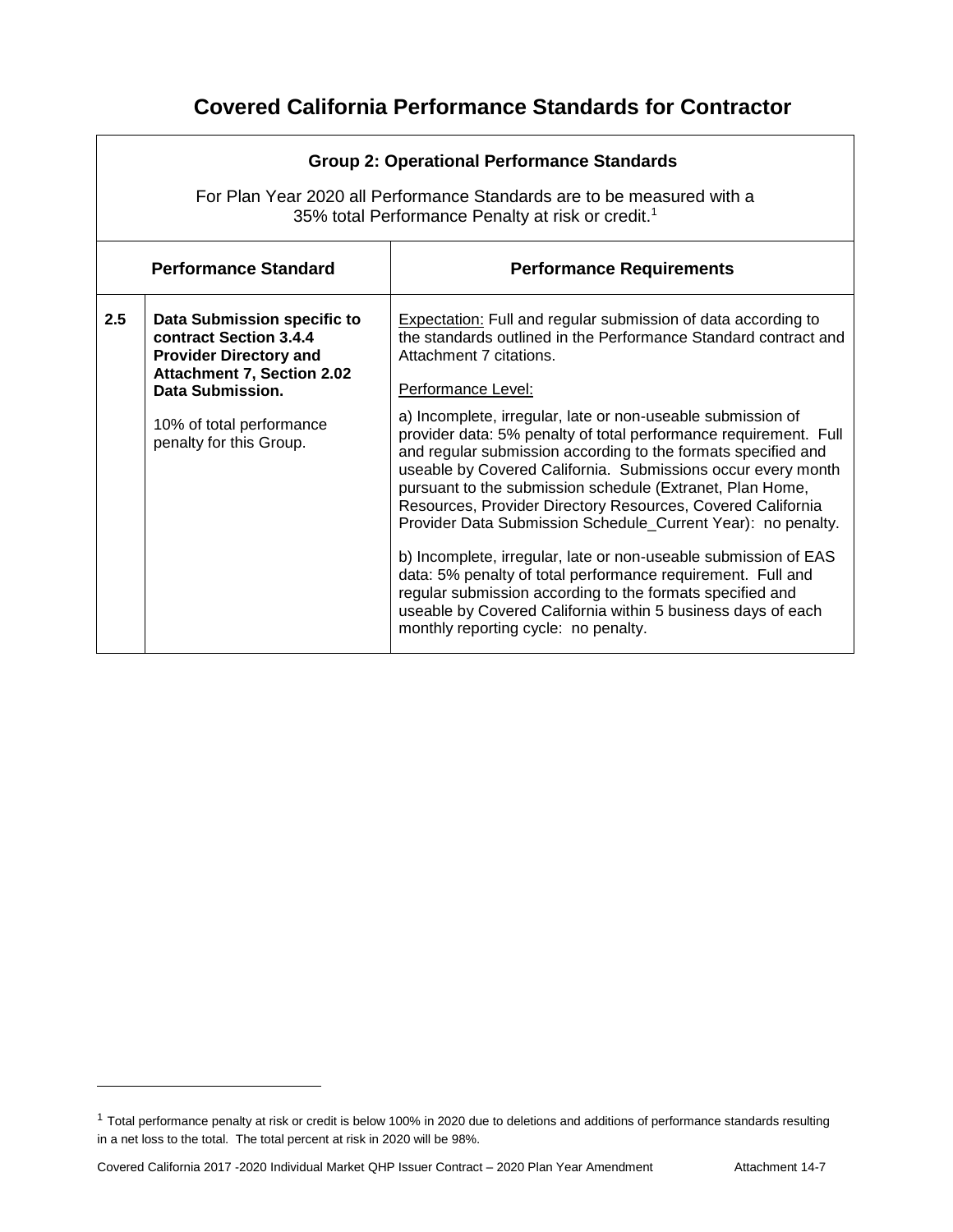|                                                                | <b>Group 2: Operational Performance Standards</b><br>For Plan Year 2020 all Performance Standards are to be measured with a<br>35% total Performance Penalty at risk or credit. <sup>1</sup>           |                                                                                                                                                                                                                                                                                                                                                                                                                                                                                                                                                                                                                                                                                                                                                                                                                                                                                                                                                                 |  |  |
|----------------------------------------------------------------|--------------------------------------------------------------------------------------------------------------------------------------------------------------------------------------------------------|-----------------------------------------------------------------------------------------------------------------------------------------------------------------------------------------------------------------------------------------------------------------------------------------------------------------------------------------------------------------------------------------------------------------------------------------------------------------------------------------------------------------------------------------------------------------------------------------------------------------------------------------------------------------------------------------------------------------------------------------------------------------------------------------------------------------------------------------------------------------------------------------------------------------------------------------------------------------|--|--|
| <b>Performance Standard</b><br><b>Performance Requirements</b> |                                                                                                                                                                                                        |                                                                                                                                                                                                                                                                                                                                                                                                                                                                                                                                                                                                                                                                                                                                                                                                                                                                                                                                                                 |  |  |
| 2.5                                                            | Data Submission specific to<br>contract Section 3.4.4<br><b>Provider Directory and</b><br><b>Attachment 7, Section 2.02</b><br>Data Submission.<br>10% of total performance<br>penalty for this Group. | <b>Expectation:</b> Full and regular submission of data according to<br>the standards outlined in the Performance Standard contract and<br>Attachment 7 citations.<br>Performance Level:<br>a) Incomplete, irregular, late or non-useable submission of<br>provider data: 5% penalty of total performance requirement. Full<br>and regular submission according to the formats specified and<br>useable by Covered California. Submissions occur every month<br>pursuant to the submission schedule (Extranet, Plan Home,<br>Resources, Provider Directory Resources, Covered California<br>Provider Data Submission Schedule_Current Year): no penalty.<br>b) Incomplete, irregular, late or non-useable submission of EAS<br>data: 5% penalty of total performance requirement. Full and<br>regular submission according to the formats specified and<br>useable by Covered California within 5 business days of each<br>monthly reporting cycle: no penalty. |  |  |

<sup>&</sup>lt;sup>1</sup> Total performance penalty at risk or credit is below 100% in 2020 due to deletions and additions of performance standards resulting in a net loss to the total. The total percent at risk in 2020 will be 98%.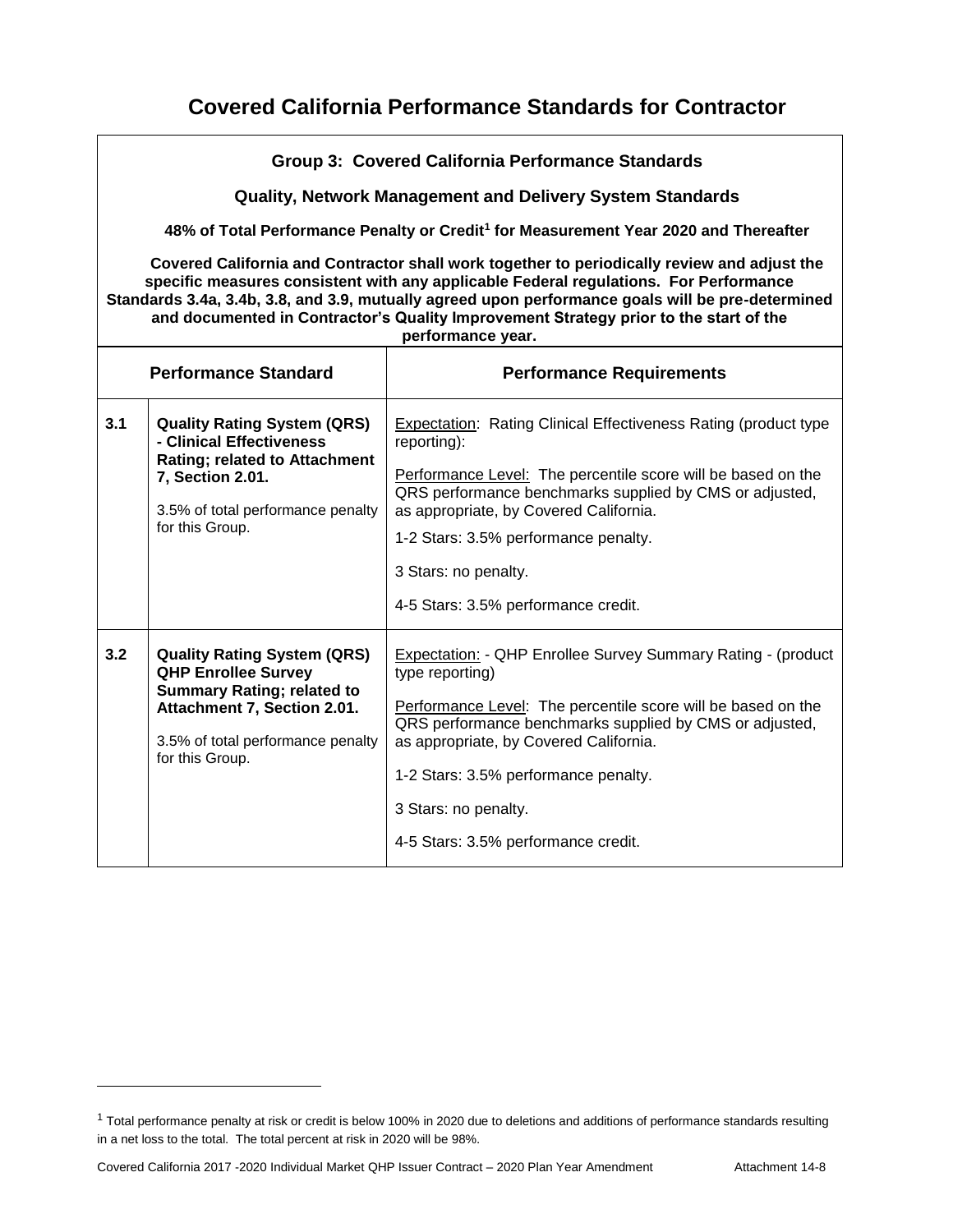|     | <b>Group 3: Covered California Performance Standards</b><br><b>Quality, Network Management and Delivery System Standards</b><br>48% of Total Performance Penalty or Credit <sup>1</sup> for Measurement Year 2020 and Thereafter<br>Covered California and Contractor shall work together to periodically review and adjust the<br>specific measures consistent with any applicable Federal regulations. For Performance |                                                                                                                                                                                                                                                                                                                                                             |  |  |
|-----|--------------------------------------------------------------------------------------------------------------------------------------------------------------------------------------------------------------------------------------------------------------------------------------------------------------------------------------------------------------------------------------------------------------------------|-------------------------------------------------------------------------------------------------------------------------------------------------------------------------------------------------------------------------------------------------------------------------------------------------------------------------------------------------------------|--|--|
|     | Standards 3.4a, 3.4b, 3.8, and 3.9, mutually agreed upon performance goals will be pre-determined<br>and documented in Contractor's Quality Improvement Strategy prior to the start of the<br>performance year.                                                                                                                                                                                                          |                                                                                                                                                                                                                                                                                                                                                             |  |  |
|     | <b>Performance Standard</b>                                                                                                                                                                                                                                                                                                                                                                                              | <b>Performance Requirements</b>                                                                                                                                                                                                                                                                                                                             |  |  |
| 3.1 | <b>Quality Rating System (QRS)</b><br>- Clinical Effectiveness<br><b>Rating; related to Attachment</b><br>7, Section 2.01.<br>3.5% of total performance penalty<br>for this Group.                                                                                                                                                                                                                                       | Expectation: Rating Clinical Effectiveness Rating (product type<br>reporting):<br>Performance Level: The percentile score will be based on the<br>QRS performance benchmarks supplied by CMS or adjusted,<br>as appropriate, by Covered California.<br>1-2 Stars: 3.5% performance penalty.<br>3 Stars: no penalty.<br>4-5 Stars: 3.5% performance credit.  |  |  |
| 3.2 | <b>Quality Rating System (QRS)</b><br><b>QHP Enrollee Survey</b><br><b>Summary Rating; related to</b><br>Attachment 7, Section 2.01.<br>3.5% of total performance penalty<br>for this Group.                                                                                                                                                                                                                             | Expectation: - QHP Enrollee Survey Summary Rating - (product<br>type reporting)<br>Performance Level: The percentile score will be based on the<br>QRS performance benchmarks supplied by CMS or adjusted,<br>as appropriate, by Covered California.<br>1-2 Stars: 3.5% performance penalty.<br>3 Stars: no penalty.<br>4-5 Stars: 3.5% performance credit. |  |  |

<sup>&</sup>lt;sup>1</sup> Total performance penalty at risk or credit is below 100% in 2020 due to deletions and additions of performance standards resulting in a net loss to the total. The total percent at risk in 2020 will be 98%.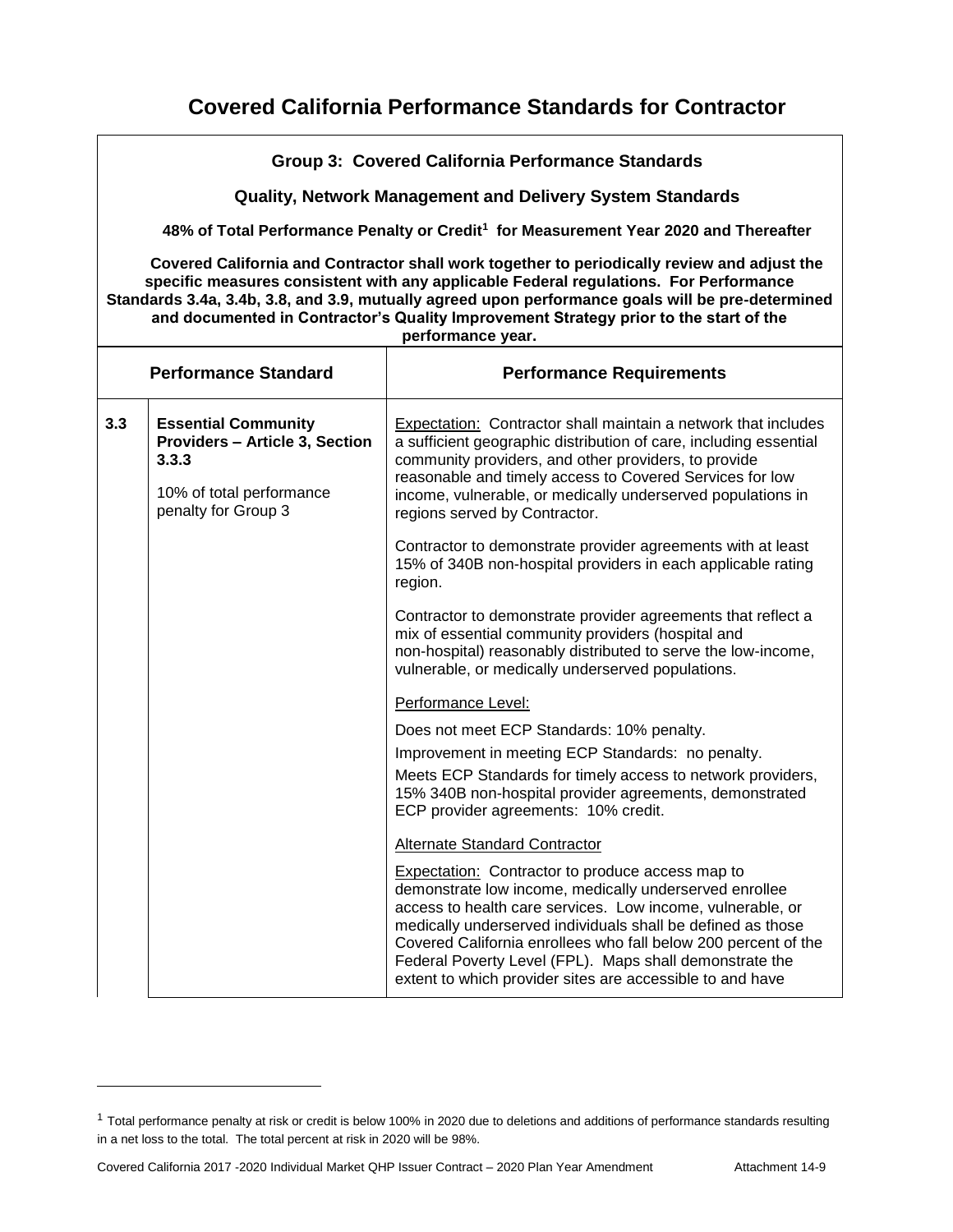|     | Group 3: Covered California Performance Standards                                                                                                                                                                                                                                                                                                                                                       |                                                                                                                                                                                                                                                                                                                                                                                                                                          |  |  |
|-----|---------------------------------------------------------------------------------------------------------------------------------------------------------------------------------------------------------------------------------------------------------------------------------------------------------------------------------------------------------------------------------------------------------|------------------------------------------------------------------------------------------------------------------------------------------------------------------------------------------------------------------------------------------------------------------------------------------------------------------------------------------------------------------------------------------------------------------------------------------|--|--|
|     | <b>Quality, Network Management and Delivery System Standards</b>                                                                                                                                                                                                                                                                                                                                        |                                                                                                                                                                                                                                                                                                                                                                                                                                          |  |  |
|     |                                                                                                                                                                                                                                                                                                                                                                                                         | 48% of Total Performance Penalty or Credit <sup>1</sup> for Measurement Year 2020 and Thereafter                                                                                                                                                                                                                                                                                                                                         |  |  |
|     | Covered California and Contractor shall work together to periodically review and adjust the<br>specific measures consistent with any applicable Federal regulations. For Performance<br>Standards 3.4a, 3.4b, 3.8, and 3.9, mutually agreed upon performance goals will be pre-determined<br>and documented in Contractor's Quality Improvement Strategy prior to the start of the<br>performance year. |                                                                                                                                                                                                                                                                                                                                                                                                                                          |  |  |
|     | <b>Performance Standard</b><br><b>Performance Requirements</b>                                                                                                                                                                                                                                                                                                                                          |                                                                                                                                                                                                                                                                                                                                                                                                                                          |  |  |
| 3.3 | <b>Essential Community</b><br><b>Providers - Article 3, Section</b><br>3.3.3<br>10% of total performance<br>penalty for Group 3                                                                                                                                                                                                                                                                         | Expectation: Contractor shall maintain a network that includes<br>a sufficient geographic distribution of care, including essential<br>community providers, and other providers, to provide<br>reasonable and timely access to Covered Services for low<br>income, vulnerable, or medically underserved populations in<br>regions served by Contractor.                                                                                  |  |  |
|     |                                                                                                                                                                                                                                                                                                                                                                                                         | Contractor to demonstrate provider agreements with at least<br>15% of 340B non-hospital providers in each applicable rating<br>region.                                                                                                                                                                                                                                                                                                   |  |  |
|     |                                                                                                                                                                                                                                                                                                                                                                                                         | Contractor to demonstrate provider agreements that reflect a<br>mix of essential community providers (hospital and<br>non-hospital) reasonably distributed to serve the low-income,<br>vulnerable, or medically underserved populations.                                                                                                                                                                                                 |  |  |
|     |                                                                                                                                                                                                                                                                                                                                                                                                         | Performance Level:                                                                                                                                                                                                                                                                                                                                                                                                                       |  |  |
|     |                                                                                                                                                                                                                                                                                                                                                                                                         | Does not meet ECP Standards: 10% penalty.                                                                                                                                                                                                                                                                                                                                                                                                |  |  |
|     |                                                                                                                                                                                                                                                                                                                                                                                                         | Improvement in meeting ECP Standards: no penalty.                                                                                                                                                                                                                                                                                                                                                                                        |  |  |
|     |                                                                                                                                                                                                                                                                                                                                                                                                         | Meets ECP Standards for timely access to network providers,<br>15% 340B non-hospital provider agreements, demonstrated<br>ECP provider agreements: 10% credit.                                                                                                                                                                                                                                                                           |  |  |
|     |                                                                                                                                                                                                                                                                                                                                                                                                         | Alternate Standard Contractor                                                                                                                                                                                                                                                                                                                                                                                                            |  |  |
|     |                                                                                                                                                                                                                                                                                                                                                                                                         | <b>Expectation:</b> Contractor to produce access map to<br>demonstrate low income, medically underserved enrollee<br>access to health care services. Low income, vulnerable, or<br>medically underserved individuals shall be defined as those<br>Covered California enrollees who fall below 200 percent of the<br>Federal Poverty Level (FPL). Maps shall demonstrate the<br>extent to which provider sites are accessible to and have |  |  |

<sup>&</sup>lt;sup>1</sup> Total performance penalty at risk or credit is below 100% in 2020 due to deletions and additions of performance standards resulting in a net loss to the total. The total percent at risk in 2020 will be 98%.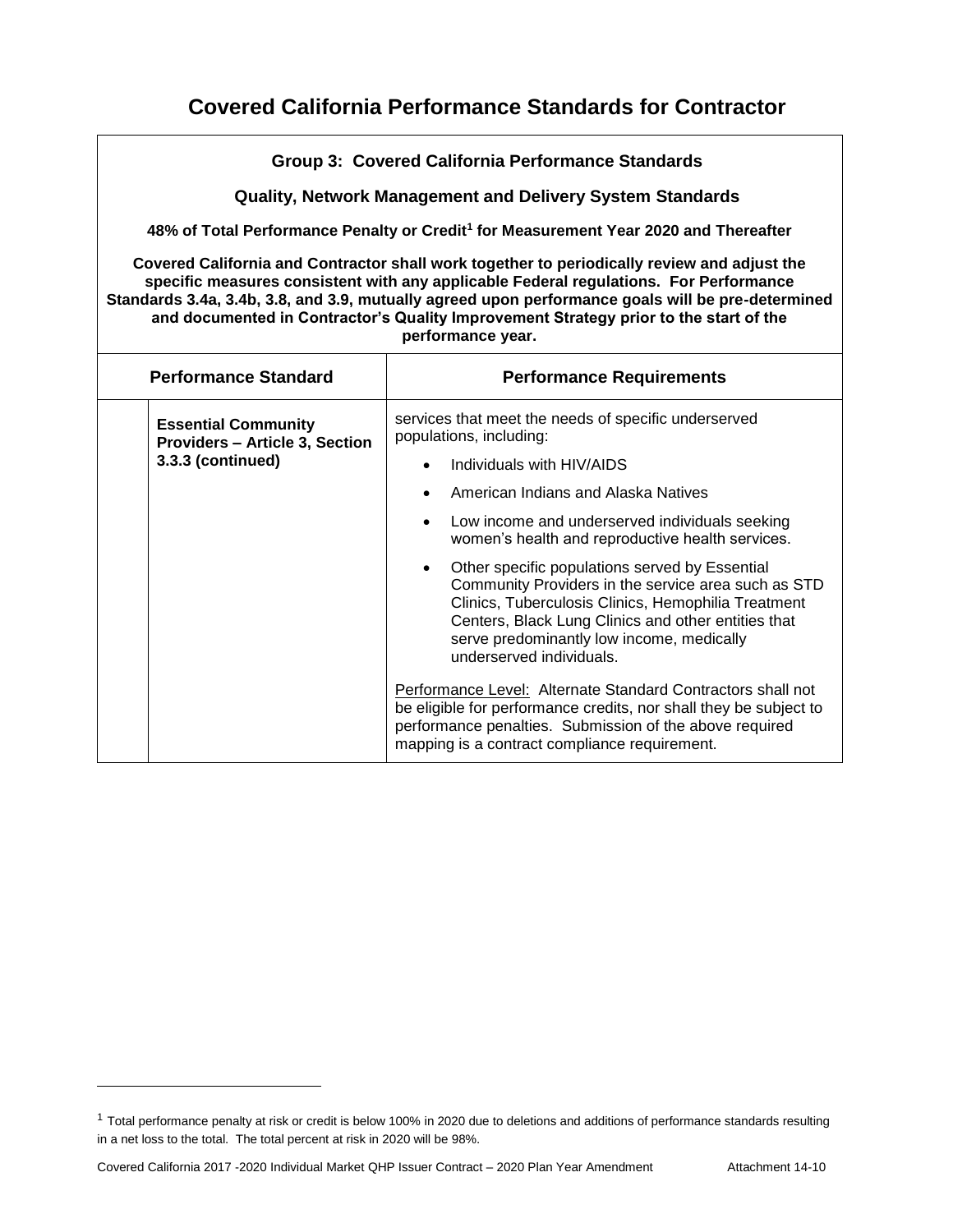| <b>Group 3: Covered California Performance Standards</b>                                                                                                                                                                                                                                                                                                                                                |                                                                                                                                                                                                                                                                                                                                                                                                                                                                                                                                                                                                                                                                                                                                                                                                 |  |  |  |
|---------------------------------------------------------------------------------------------------------------------------------------------------------------------------------------------------------------------------------------------------------------------------------------------------------------------------------------------------------------------------------------------------------|-------------------------------------------------------------------------------------------------------------------------------------------------------------------------------------------------------------------------------------------------------------------------------------------------------------------------------------------------------------------------------------------------------------------------------------------------------------------------------------------------------------------------------------------------------------------------------------------------------------------------------------------------------------------------------------------------------------------------------------------------------------------------------------------------|--|--|--|
| <b>Quality, Network Management and Delivery System Standards</b>                                                                                                                                                                                                                                                                                                                                        |                                                                                                                                                                                                                                                                                                                                                                                                                                                                                                                                                                                                                                                                                                                                                                                                 |  |  |  |
|                                                                                                                                                                                                                                                                                                                                                                                                         | 48% of Total Performance Penalty or Credit <sup>1</sup> for Measurement Year 2020 and Thereafter                                                                                                                                                                                                                                                                                                                                                                                                                                                                                                                                                                                                                                                                                                |  |  |  |
| Covered California and Contractor shall work together to periodically review and adjust the<br>specific measures consistent with any applicable Federal regulations. For Performance<br>Standards 3.4a, 3.4b, 3.8, and 3.9, mutually agreed upon performance goals will be pre-determined<br>and documented in Contractor's Quality Improvement Strategy prior to the start of the<br>performance year. |                                                                                                                                                                                                                                                                                                                                                                                                                                                                                                                                                                                                                                                                                                                                                                                                 |  |  |  |
| <b>Performance Standard</b><br><b>Performance Requirements</b>                                                                                                                                                                                                                                                                                                                                          |                                                                                                                                                                                                                                                                                                                                                                                                                                                                                                                                                                                                                                                                                                                                                                                                 |  |  |  |
| <b>Essential Community</b><br><b>Providers - Article 3, Section</b><br>3.3.3 (continued)                                                                                                                                                                                                                                                                                                                | services that meet the needs of specific underserved<br>populations, including:<br>Individuals with HIV/AIDS<br>American Indians and Alaska Natives<br>$\bullet$<br>Low income and underserved individuals seeking<br>$\bullet$<br>women's health and reproductive health services.<br>Other specific populations served by Essential<br>$\bullet$<br>Community Providers in the service area such as STD<br>Clinics, Tuberculosis Clinics, Hemophilia Treatment<br>Centers, Black Lung Clinics and other entities that<br>serve predominantly low income, medically<br>underserved individuals.<br>Performance Level: Alternate Standard Contractors shall not<br>be eligible for performance credits, nor shall they be subject to<br>performance penalties. Submission of the above required |  |  |  |

<sup>&</sup>lt;sup>1</sup> Total performance penalty at risk or credit is below 100% in 2020 due to deletions and additions of performance standards resulting in a net loss to the total. The total percent at risk in 2020 will be 98%.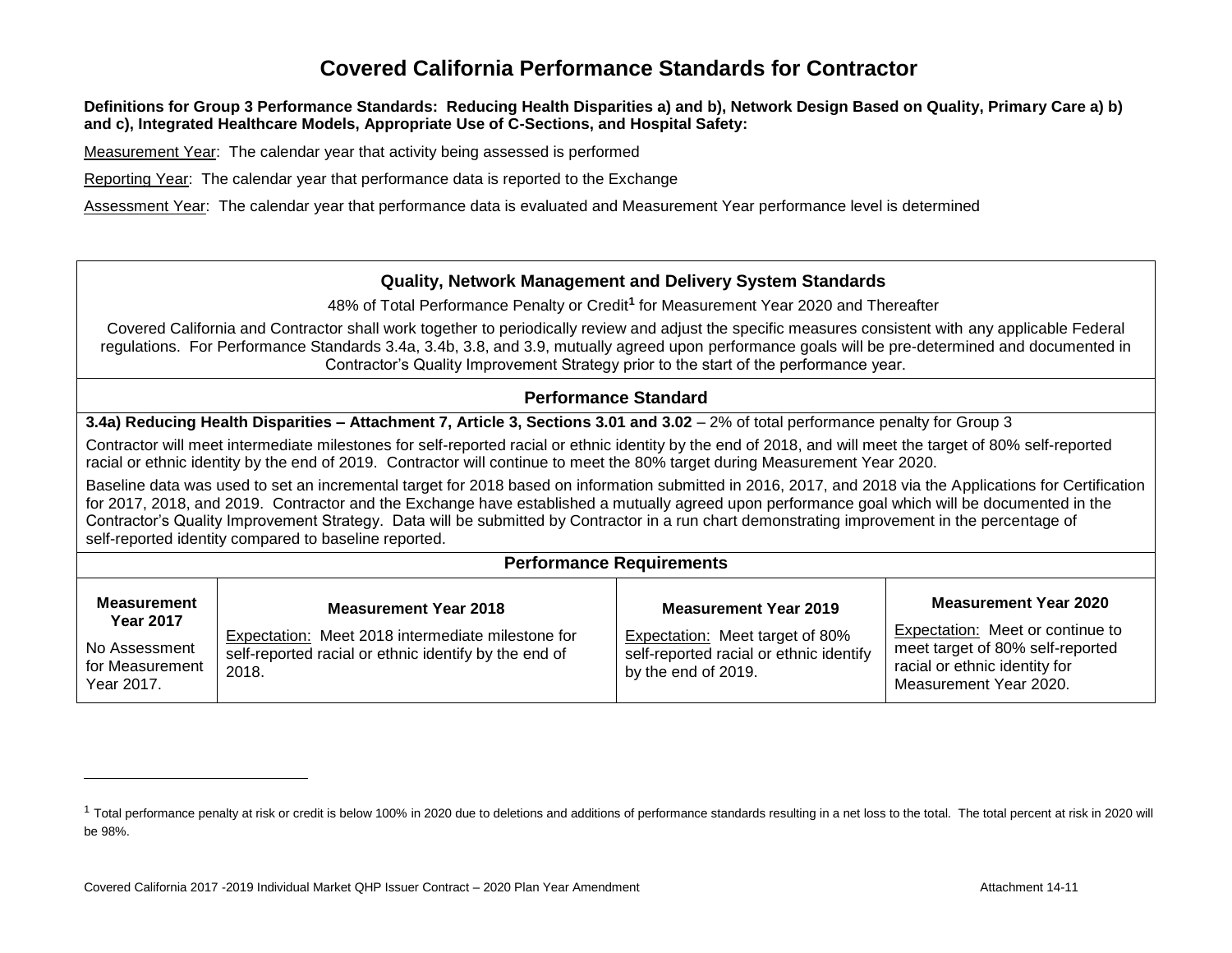#### **Definitions for Group 3 Performance Standards: Reducing Health Disparities a) and b), Network Design Based on Quality, Primary Care a) b) and c), Integrated Healthcare Models, Appropriate Use of C-Sections, and Hospital Safety:**

Measurement Year: The calendar year that activity being assessed is performed

Reporting Year: The calendar year that performance data is reported to the Exchange

Assessment Year: The calendar year that performance data is evaluated and Measurement Year performance level is determined

#### **Quality, Network Management and Delivery System Standards**

48% of Total Performance Penalty or Credit**<sup>1</sup>** for Measurement Year 2020 and Thereafter

Covered California and Contractor shall work together to periodically review and adjust the specific measures consistent with any applicable Federal regulations. For Performance Standards 3.4a, 3.4b, 3.8, and 3.9, mutually agreed upon performance goals will be pre-determined and documented in Contractor's Quality Improvement Strategy prior to the start of the performance year.

#### **Performance Standard**

**3.4a) Reducing Health Disparities – Attachment 7, Article 3, Sections 3.01 and 3.02** – 2% of total performance penalty for Group 3

Contractor will meet intermediate milestones for self-reported racial or ethnic identity by the end of 2018, and will meet the target of 80% self-reported racial or ethnic identity by the end of 2019. Contractor will continue to meet the 80% target during Measurement Year 2020.

Baseline data was used to set an incremental target for 2018 based on information submitted in 2016, 2017, and 2018 via the Applications for Certification for 2017, 2018, and 2019. Contractor and the Exchange have established a mutually agreed upon performance goal which will be documented in the Contractor's Quality Improvement Strategy. Data will be submitted by Contractor in a run chart demonstrating improvement in the percentage of self-reported identity compared to baseline reported.

#### **Performance Requirements**

| <b>Measurement</b><br><b>Year 2017</b>         | <b>Measurement Year 2018</b>                                                                                        | <b>Measurement Year 2019</b>                                                                      | Measurement Year 2020                                                                                                           |
|------------------------------------------------|---------------------------------------------------------------------------------------------------------------------|---------------------------------------------------------------------------------------------------|---------------------------------------------------------------------------------------------------------------------------------|
| No Assessment<br>for Measurement<br>Year 2017. | Expectation: Meet 2018 intermediate milestone for<br>self-reported racial or ethnic identify by the end of<br>2018. | Expectation: Meet target of 80%<br>self-reported racial or ethnic identify<br>by the end of 2019. | Expectation: Meet or continue to<br>meet target of 80% self-reported<br>racial or ethnic identity for<br>Measurement Year 2020. |

<sup>&</sup>lt;sup>1</sup> Total performance penalty at risk or credit is below 100% in 2020 due to deletions and additions of performance standards resulting in a net loss to the total. The total percent at risk in 2020 will be 98%.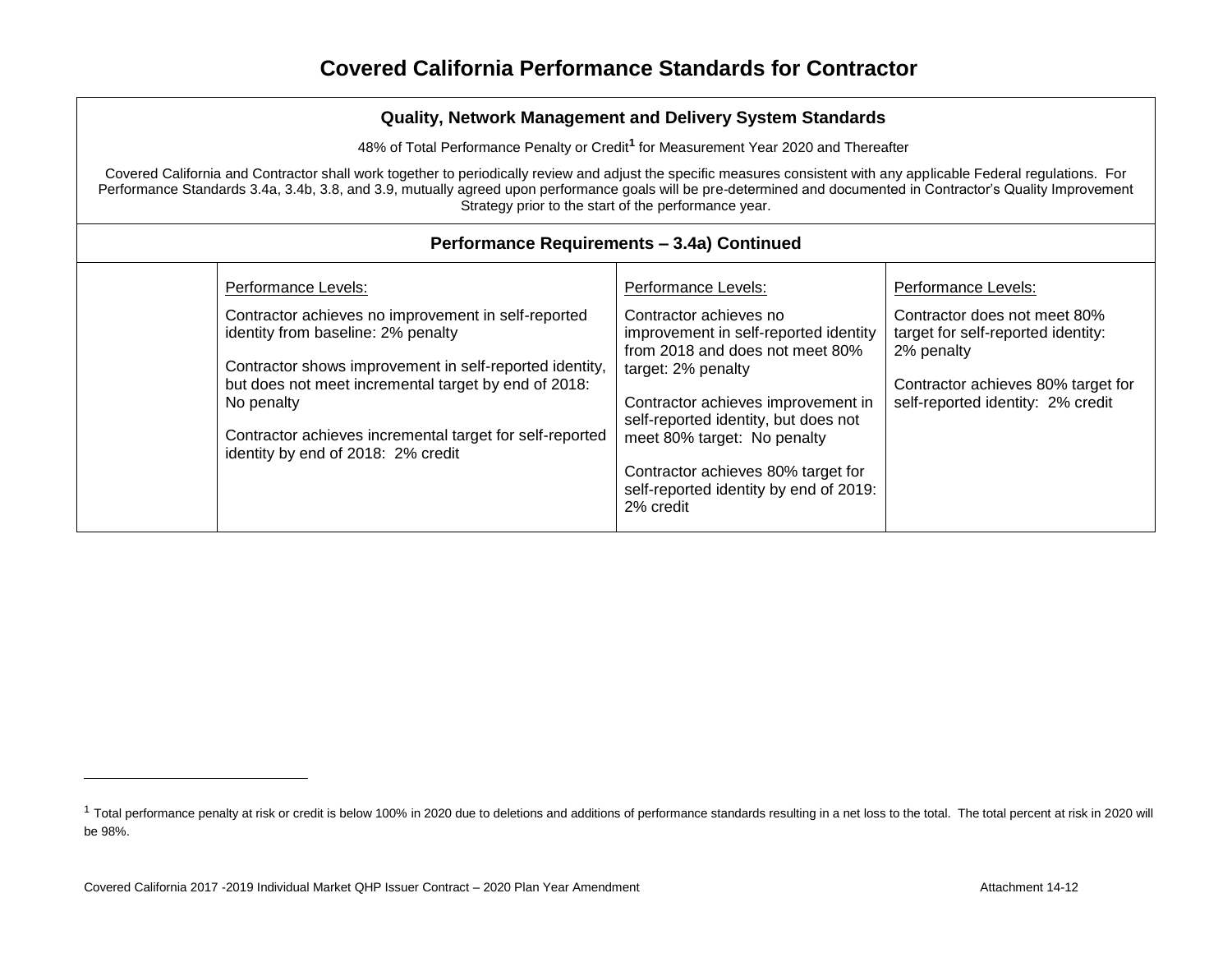48% of Total Performance Penalty or Credit**<sup>1</sup>** for Measurement Year 2020 and Thereafter

Covered California and Contractor shall work together to periodically review and adjust the specific measures consistent with any applicable Federal regulations. For Performance Standards 3.4a, 3.4b, 3.8, and 3.9, mutually agreed upon performance goals will be pre-determined and documented in Contractor's Quality Improvement Strategy prior to the start of the performance year.

| Performance Levels:<br>Performance Levels:<br>Contractor achieves no improvement in self-reported<br>identity from baseline: 2% penalty<br>Contractor shows improvement in self-reported identity,<br>target: 2% penalty<br>but does not meet incremental target by end of 2018:<br>No penalty<br>Contractor achieves incremental target for self-reported<br>meet 80% target: No penalty<br>identity by end of 2018: 2% credit<br>Contractor achieves 80% target for<br>self-reported identity by end of 2019: | Performance Levels:<br>Contractor achieves no<br>Contractor does not meet 80%<br>improvement in self-reported identity<br>target for self-reported identity:<br>from 2018 and does not meet 80%<br>2% penalty<br>Contractor achieves 80% target for<br>self-reported identity: 2% credit<br>Contractor achieves improvement in<br>self-reported identity, but does not |
|-----------------------------------------------------------------------------------------------------------------------------------------------------------------------------------------------------------------------------------------------------------------------------------------------------------------------------------------------------------------------------------------------------------------------------------------------------------------------------------------------------------------|------------------------------------------------------------------------------------------------------------------------------------------------------------------------------------------------------------------------------------------------------------------------------------------------------------------------------------------------------------------------|
|-----------------------------------------------------------------------------------------------------------------------------------------------------------------------------------------------------------------------------------------------------------------------------------------------------------------------------------------------------------------------------------------------------------------------------------------------------------------------------------------------------------------|------------------------------------------------------------------------------------------------------------------------------------------------------------------------------------------------------------------------------------------------------------------------------------------------------------------------------------------------------------------------|

## **Performance Requirements – 3.4a) Continued**

<sup>&</sup>lt;sup>1</sup> Total performance penalty at risk or credit is below 100% in 2020 due to deletions and additions of performance standards resulting in a net loss to the total. The total percent at risk in 2020 will be 98%.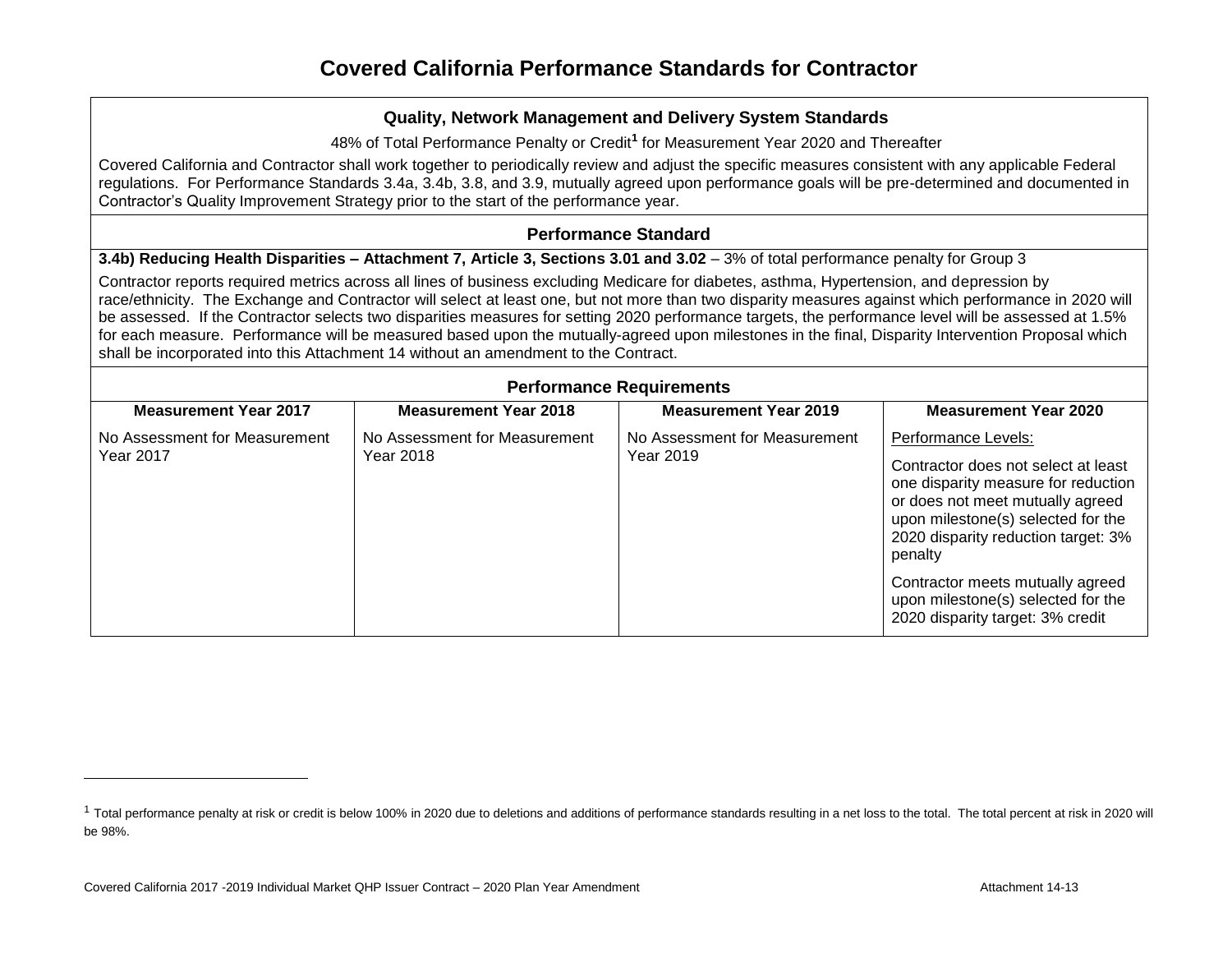48% of Total Performance Penalty or Credit**<sup>1</sup>** for Measurement Year 2020 and Thereafter

Covered California and Contractor shall work together to periodically review and adjust the specific measures consistent with any applicable Federal regulations. For Performance Standards 3.4a, 3.4b, 3.8, and 3.9, mutually agreed upon performance goals will be pre-determined and documented in Contractor's Quality Improvement Strategy prior to the start of the performance year.

#### **Performance Standard**

**3.4b) Reducing Health Disparities – Attachment 7, Article 3, Sections 3.01 and 3.02** – 3% of total performance penalty for Group 3

Contractor reports required metrics across all lines of business excluding Medicare for diabetes, asthma, Hypertension, and depression by race/ethnicity. The Exchange and Contractor will select at least one, but not more than two disparity measures against which performance in 2020 will be assessed. If the Contractor selects two disparities measures for setting 2020 performance targets, the performance level will be assessed at 1.5% for each measure. Performance will be measured based upon the mutually-agreed upon milestones in the final, Disparity Intervention Proposal which shall be incorporated into this Attachment 14 without an amendment to the Contract.

| <b>Performance Requirements</b>            |                                            |                                            |                                                                                                                                                                                                                               |  |
|--------------------------------------------|--------------------------------------------|--------------------------------------------|-------------------------------------------------------------------------------------------------------------------------------------------------------------------------------------------------------------------------------|--|
| <b>Measurement Year 2017</b>               | <b>Measurement Year 2018</b>               | <b>Measurement Year 2019</b>               | <b>Measurement Year 2020</b>                                                                                                                                                                                                  |  |
| No Assessment for Measurement<br>Year 2017 | No Assessment for Measurement<br>Year 2018 | No Assessment for Measurement<br>Year 2019 | Performance Levels:<br>Contractor does not select at least<br>one disparity measure for reduction<br>or does not meet mutually agreed<br>upon milestone(s) selected for the<br>2020 disparity reduction target: 3%<br>penalty |  |
|                                            |                                            |                                            | Contractor meets mutually agreed<br>upon milestone(s) selected for the<br>2020 disparity target: 3% credit                                                                                                                    |  |

<sup>&</sup>lt;sup>1</sup> Total performance penalty at risk or credit is below 100% in 2020 due to deletions and additions of performance standards resulting in a net loss to the total. The total percent at risk in 2020 will be 98%.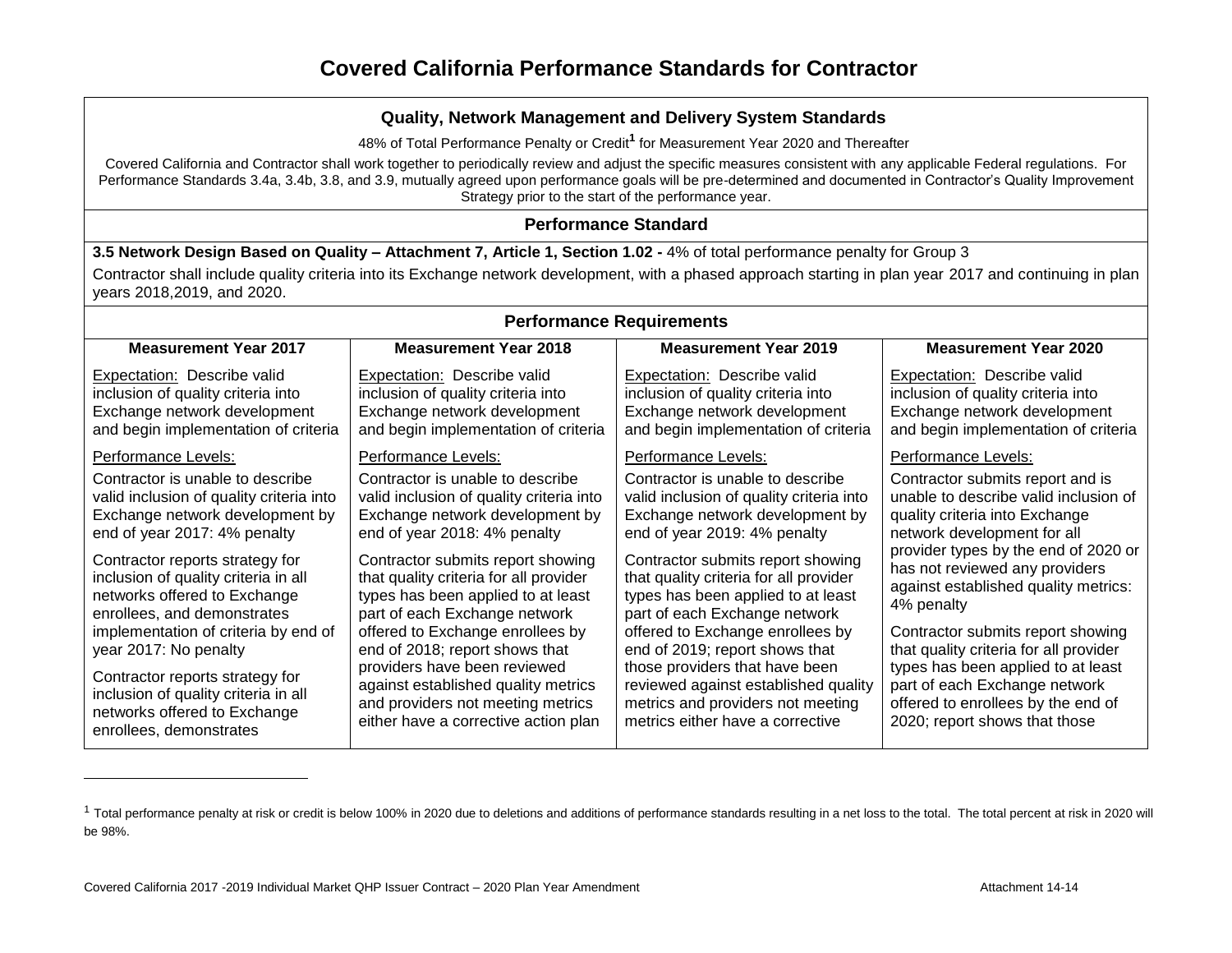48% of Total Performance Penalty or Credit**<sup>1</sup>** for Measurement Year 2020 and Thereafter

Covered California and Contractor shall work together to periodically review and adjust the specific measures consistent with any applicable Federal regulations. For Performance Standards 3.4a, 3.4b, 3.8, and 3.9, mutually agreed upon performance goals will be pre-determined and documented in Contractor's Quality Improvement Strategy prior to the start of the performance year.

**Performance Standard**

**3.5 Network Design Based on Quality – Attachment 7, Article 1, Section 1.02 -** 4% of total performance penalty for Group 3

Contractor shall include quality criteria into its Exchange network development, with a phased approach starting in plan year 2017 and continuing in plan years 2018,2019, and 2020.

| <b>Performance Requirements</b>                                                                                                                                                                                                            |                                                                                                                                                                                                                                                                                                 |                                                                                                                                                                                                                                                                                                    |                                                                                                                                                                                                                                                                                    |  |
|--------------------------------------------------------------------------------------------------------------------------------------------------------------------------------------------------------------------------------------------|-------------------------------------------------------------------------------------------------------------------------------------------------------------------------------------------------------------------------------------------------------------------------------------------------|----------------------------------------------------------------------------------------------------------------------------------------------------------------------------------------------------------------------------------------------------------------------------------------------------|------------------------------------------------------------------------------------------------------------------------------------------------------------------------------------------------------------------------------------------------------------------------------------|--|
| <b>Measurement Year 2017</b>                                                                                                                                                                                                               | <b>Measurement Year 2018</b>                                                                                                                                                                                                                                                                    | <b>Measurement Year 2019</b>                                                                                                                                                                                                                                                                       | <b>Measurement Year 2020</b>                                                                                                                                                                                                                                                       |  |
| Expectation: Describe valid<br>inclusion of quality criteria into<br>Exchange network development<br>and begin implementation of criteria                                                                                                  | <b>Expectation:</b> Describe valid<br>inclusion of quality criteria into<br>Exchange network development<br>and begin implementation of criteria                                                                                                                                                | Expectation: Describe valid<br>inclusion of quality criteria into<br>Exchange network development<br>and begin implementation of criteria                                                                                                                                                          | Expectation: Describe valid<br>inclusion of quality criteria into<br>Exchange network development<br>and begin implementation of criteria                                                                                                                                          |  |
| Performance Levels:                                                                                                                                                                                                                        | Performance Levels:                                                                                                                                                                                                                                                                             | Performance Levels:                                                                                                                                                                                                                                                                                | Performance Levels:                                                                                                                                                                                                                                                                |  |
| Contractor is unable to describe<br>valid inclusion of quality criteria into<br>Exchange network development by<br>end of year 2017: 4% penalty                                                                                            | Contractor is unable to describe<br>valid inclusion of quality criteria into<br>Exchange network development by<br>end of year 2018: 4% penalty                                                                                                                                                 | Contractor is unable to describe<br>valid inclusion of quality criteria into<br>Exchange network development by<br>end of year 2019: 4% penalty                                                                                                                                                    | Contractor submits report and is<br>unable to describe valid inclusion of<br>quality criteria into Exchange<br>network development for all                                                                                                                                         |  |
| Contractor reports strategy for<br>inclusion of quality criteria in all<br>networks offered to Exchange<br>enrollees, and demonstrates<br>implementation of criteria by end of<br>year 2017: No penalty<br>Contractor reports strategy for | Contractor submits report showing<br>that quality criteria for all provider<br>types has been applied to at least<br>part of each Exchange network<br>offered to Exchange enrollees by<br>end of 2018; report shows that<br>providers have been reviewed<br>against established quality metrics | Contractor submits report showing<br>that quality criteria for all provider<br>types has been applied to at least<br>part of each Exchange network<br>offered to Exchange enrollees by<br>end of 2019; report shows that<br>those providers that have been<br>reviewed against established quality | provider types by the end of 2020 or<br>has not reviewed any providers<br>against established quality metrics:<br>4% penalty<br>Contractor submits report showing<br>that quality criteria for all provider<br>types has been applied to at least<br>part of each Exchange network |  |
| inclusion of quality criteria in all<br>networks offered to Exchange<br>enrollees, demonstrates                                                                                                                                            | and providers not meeting metrics<br>either have a corrective action plan                                                                                                                                                                                                                       | metrics and providers not meeting<br>metrics either have a corrective                                                                                                                                                                                                                              | offered to enrollees by the end of<br>2020; report shows that those                                                                                                                                                                                                                |  |

<sup>&</sup>lt;sup>1</sup> Total performance penalty at risk or credit is below 100% in 2020 due to deletions and additions of performance standards resulting in a net loss to the total. The total percent at risk in 2020 will be 98%.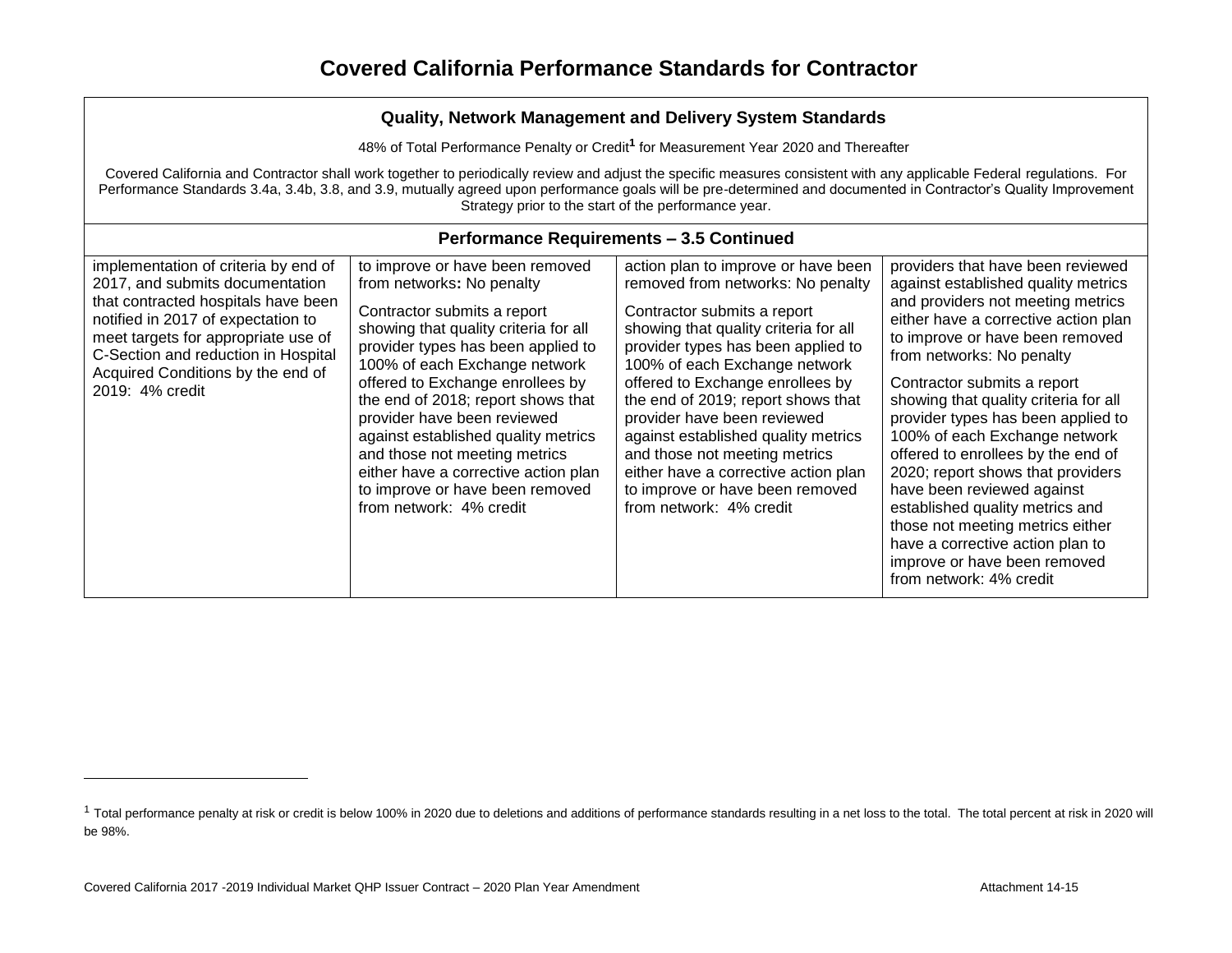| Quality, Network Management and Delivery System Standards                                                                                                                                                                                                                                                                                                                                         |                                                                                                                                                                                                                                                                                                                                                                                                                                                                                                    |                                                                                                                                                                                                                                                                                                                                                                                                                                                                                                                |                                                                                                                                                                                                                                                                                                                                                                                                                                                                                                                                                                                                                                                     |  |  |  |
|---------------------------------------------------------------------------------------------------------------------------------------------------------------------------------------------------------------------------------------------------------------------------------------------------------------------------------------------------------------------------------------------------|----------------------------------------------------------------------------------------------------------------------------------------------------------------------------------------------------------------------------------------------------------------------------------------------------------------------------------------------------------------------------------------------------------------------------------------------------------------------------------------------------|----------------------------------------------------------------------------------------------------------------------------------------------------------------------------------------------------------------------------------------------------------------------------------------------------------------------------------------------------------------------------------------------------------------------------------------------------------------------------------------------------------------|-----------------------------------------------------------------------------------------------------------------------------------------------------------------------------------------------------------------------------------------------------------------------------------------------------------------------------------------------------------------------------------------------------------------------------------------------------------------------------------------------------------------------------------------------------------------------------------------------------------------------------------------------------|--|--|--|
|                                                                                                                                                                                                                                                                                                                                                                                                   | 48% of Total Performance Penalty or Credit <sup>1</sup> for Measurement Year 2020 and Thereafter                                                                                                                                                                                                                                                                                                                                                                                                   |                                                                                                                                                                                                                                                                                                                                                                                                                                                                                                                |                                                                                                                                                                                                                                                                                                                                                                                                                                                                                                                                                                                                                                                     |  |  |  |
| Covered California and Contractor shall work together to periodically review and adjust the specific measures consistent with any applicable Federal regulations. For<br>Performance Standards 3.4a, 3.4b, 3.8, and 3.9, mutually agreed upon performance goals will be pre-determined and documented in Contractor's Quality Improvement<br>Strategy prior to the start of the performance year. |                                                                                                                                                                                                                                                                                                                                                                                                                                                                                                    |                                                                                                                                                                                                                                                                                                                                                                                                                                                                                                                |                                                                                                                                                                                                                                                                                                                                                                                                                                                                                                                                                                                                                                                     |  |  |  |
|                                                                                                                                                                                                                                                                                                                                                                                                   | <b>Performance Requirements - 3.5 Continued</b>                                                                                                                                                                                                                                                                                                                                                                                                                                                    |                                                                                                                                                                                                                                                                                                                                                                                                                                                                                                                |                                                                                                                                                                                                                                                                                                                                                                                                                                                                                                                                                                                                                                                     |  |  |  |
| implementation of criteria by end of<br>2017, and submits documentation<br>that contracted hospitals have been<br>notified in 2017 of expectation to<br>meet targets for appropriate use of<br>C-Section and reduction in Hospital<br>Acquired Conditions by the end of<br>2019: 4% credit                                                                                                        | to improve or have been removed<br>from networks: No penalty<br>Contractor submits a report<br>showing that quality criteria for all<br>provider types has been applied to<br>100% of each Exchange network<br>offered to Exchange enrollees by<br>the end of 2018; report shows that<br>provider have been reviewed<br>against established quality metrics<br>and those not meeting metrics<br>either have a corrective action plan<br>to improve or have been removed<br>from network: 4% credit | action plan to improve or have been<br>removed from networks: No penalty<br>Contractor submits a report<br>showing that quality criteria for all<br>provider types has been applied to<br>100% of each Exchange network<br>offered to Exchange enrollees by<br>the end of 2019; report shows that<br>provider have been reviewed<br>against established quality metrics<br>and those not meeting metrics<br>either have a corrective action plan<br>to improve or have been removed<br>from network: 4% credit | providers that have been reviewed<br>against established quality metrics<br>and providers not meeting metrics<br>either have a corrective action plan<br>to improve or have been removed<br>from networks: No penalty<br>Contractor submits a report<br>showing that quality criteria for all<br>provider types has been applied to<br>100% of each Exchange network<br>offered to enrollees by the end of<br>2020; report shows that providers<br>have been reviewed against<br>established quality metrics and<br>those not meeting metrics either<br>have a corrective action plan to<br>improve or have been removed<br>from network: 4% credit |  |  |  |

<sup>&</sup>lt;sup>1</sup> Total performance penalty at risk or credit is below 100% in 2020 due to deletions and additions of performance standards resulting in a net loss to the total. The total percent at risk in 2020 will be 98%.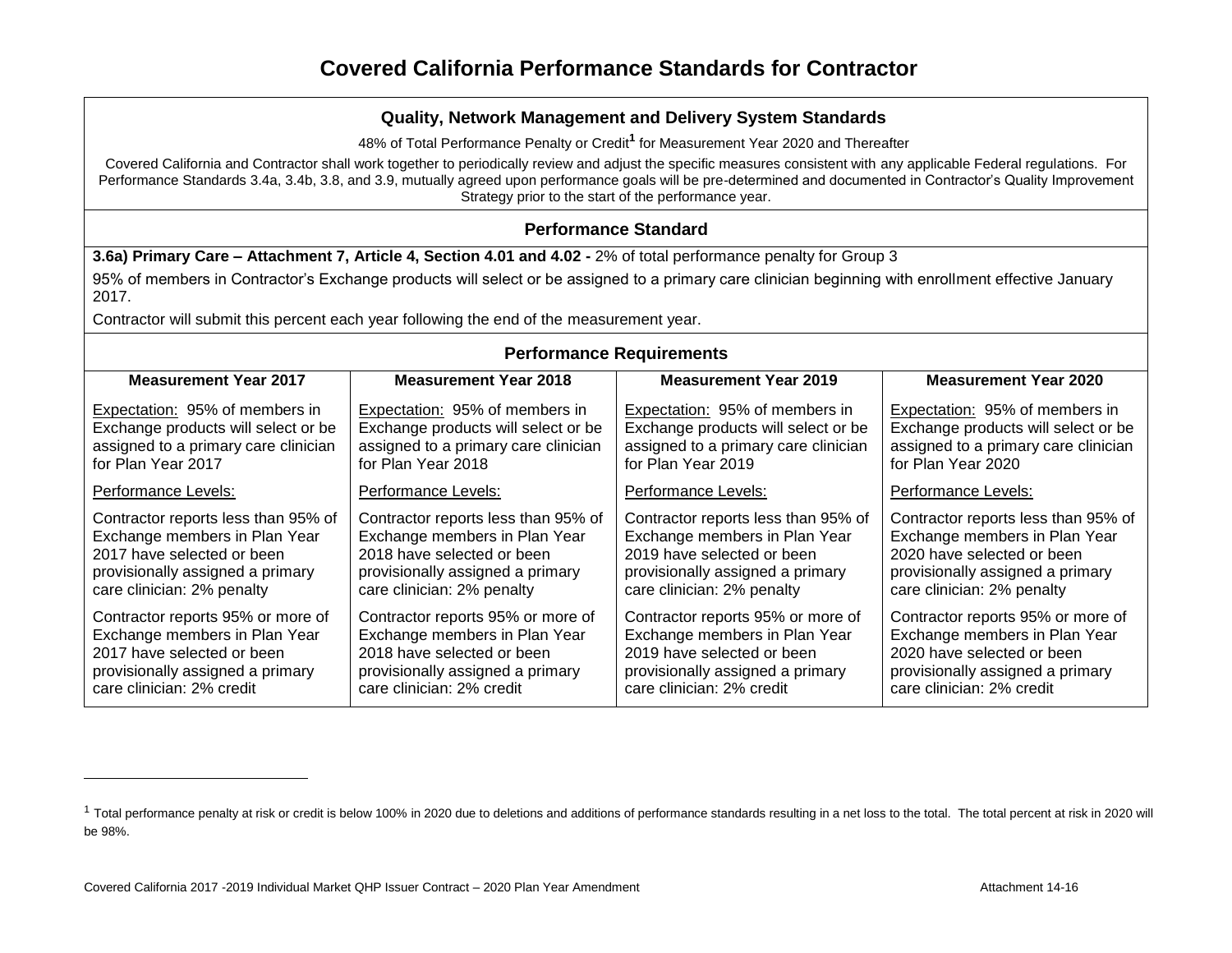48% of Total Performance Penalty or Credit**<sup>1</sup>** for Measurement Year 2020 and Thereafter

Covered California and Contractor shall work together to periodically review and adjust the specific measures consistent with any applicable Federal regulations. For Performance Standards 3.4a, 3.4b, 3.8, and 3.9, mutually agreed upon performance goals will be pre-determined and documented in Contractor's Quality Improvement Strategy prior to the start of the performance year.

## **Performance Standard**

**3.6a) Primary Care – Attachment 7, Article 4, Section 4.01 and 4.02 -** 2% of total performance penalty for Group 3

95% of members in Contractor's Exchange products will select or be assigned to a primary care clinician beginning with enrollment effective January 2017.

Contractor will submit this percent each year following the end of the measurement year.

| <b>Performance Requirements</b>      |                                      |                                      |                                      |  |  |
|--------------------------------------|--------------------------------------|--------------------------------------|--------------------------------------|--|--|
| <b>Measurement Year 2017</b>         | <b>Measurement Year 2018</b>         | <b>Measurement Year 2019</b>         | <b>Measurement Year 2020</b>         |  |  |
| Expectation: 95% of members in       | Expectation: 95% of members in       | Expectation: 95% of members in       | Expectation: 95% of members in       |  |  |
| Exchange products will select or be  | Exchange products will select or be  | Exchange products will select or be  | Exchange products will select or be  |  |  |
| assigned to a primary care clinician | assigned to a primary care clinician | assigned to a primary care clinician | assigned to a primary care clinician |  |  |
| for Plan Year 2017                   | for Plan Year 2018                   | for Plan Year 2019                   | for Plan Year 2020                   |  |  |
| Performance Levels:                  | Performance Levels:                  | Performance Levels:                  | Performance Levels:                  |  |  |
| Contractor reports less than 95% of  | Contractor reports less than 95% of  | Contractor reports less than 95% of  | Contractor reports less than 95% of  |  |  |
| Exchange members in Plan Year        | Exchange members in Plan Year        | Exchange members in Plan Year        | Exchange members in Plan Year        |  |  |
| 2017 have selected or been           | 2018 have selected or been           | 2019 have selected or been           | 2020 have selected or been           |  |  |
| provisionally assigned a primary     | provisionally assigned a primary     | provisionally assigned a primary     | provisionally assigned a primary     |  |  |
| care clinician: 2% penalty           | care clinician: 2% penalty           | care clinician: 2% penalty           | care clinician: 2% penalty           |  |  |
| Contractor reports 95% or more of    | Contractor reports 95% or more of    | Contractor reports 95% or more of    | Contractor reports 95% or more of    |  |  |
| Exchange members in Plan Year        | Exchange members in Plan Year        | Exchange members in Plan Year        | Exchange members in Plan Year        |  |  |
| 2017 have selected or been           | 2018 have selected or been           | 2019 have selected or been           | 2020 have selected or been           |  |  |
| provisionally assigned a primary     | provisionally assigned a primary     | provisionally assigned a primary     | provisionally assigned a primary     |  |  |
| care clinician: 2% credit            | care clinician: 2% credit            | care clinician: 2% credit            | care clinician: 2% credit            |  |  |

<sup>&</sup>lt;sup>1</sup> Total performance penalty at risk or credit is below 100% in 2020 due to deletions and additions of performance standards resulting in a net loss to the total. The total percent at risk in 2020 will be 98%.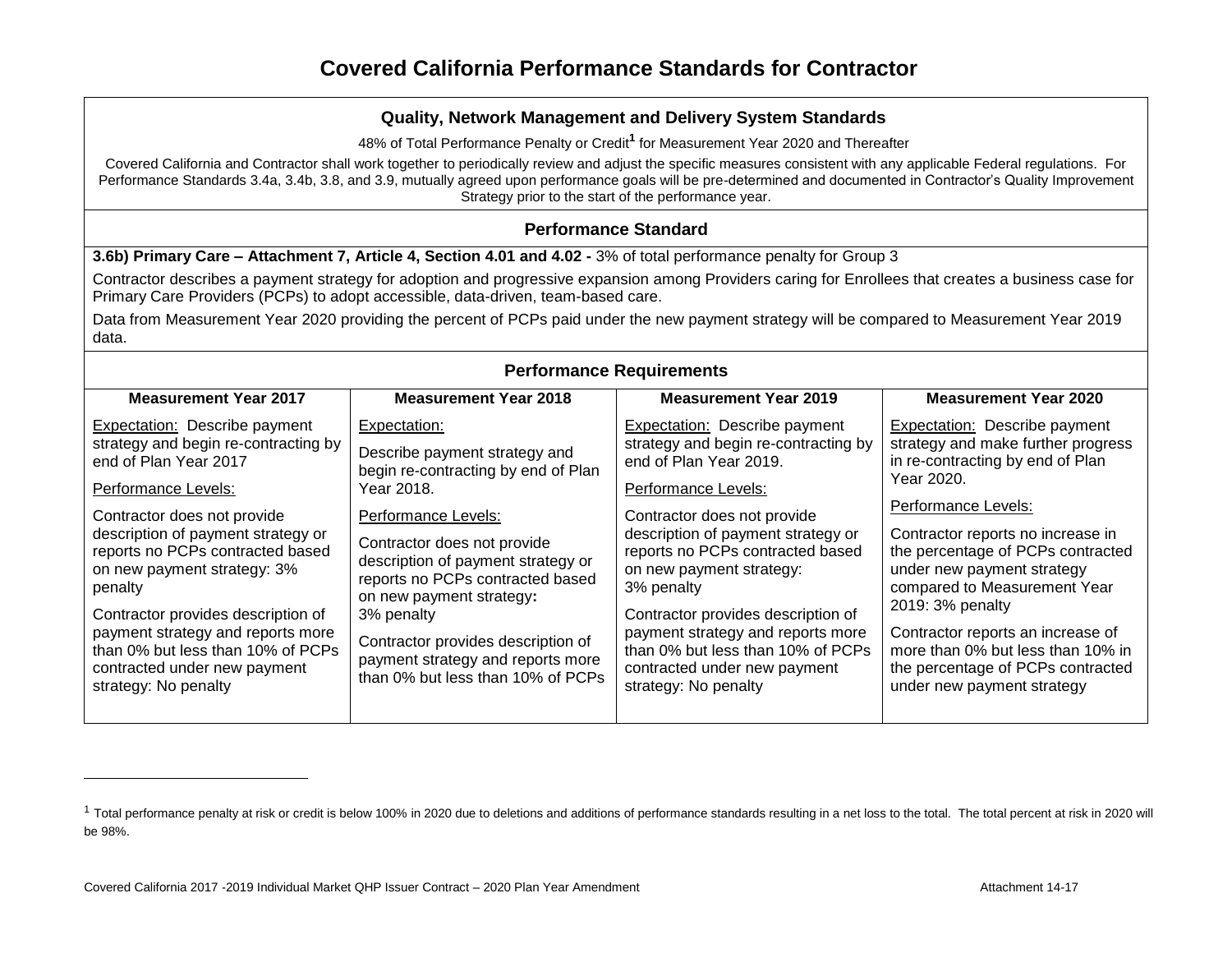48% of Total Performance Penalty or Credit**<sup>1</sup>** for Measurement Year 2020 and Thereafter

Covered California and Contractor shall work together to periodically review and adjust the specific measures consistent with any applicable Federal regulations. For Performance Standards 3.4a, 3.4b, 3.8, and 3.9, mutually agreed upon performance goals will be pre-determined and documented in Contractor's Quality Improvement Strategy prior to the start of the performance year.

## **Performance Standard**

**3.6b) Primary Care – Attachment 7, Article 4, Section 4.01 and 4.02 -** 3% of total performance penalty for Group 3

Contractor describes a payment strategy for adoption and progressive expansion among Providers caring for Enrollees that creates a business case for Primary Care Providers (PCPs) to adopt accessible, data-driven, team-based care.

Data from Measurement Year 2020 providing the percent of PCPs paid under the new payment strategy will be compared to Measurement Year 2019 data.

| <b>Performance Requirements</b>                                                                                                                                                                                                                                                                                                                                                                                                                  |                                                                                                                                                                                                                                                                                                                                                                                              |                                                                                                                                                                                                                                                                                                                                                                                                                                                   |                                                                                                                                                                                                                                                                                                                                                                                                                                                       |  |  |
|--------------------------------------------------------------------------------------------------------------------------------------------------------------------------------------------------------------------------------------------------------------------------------------------------------------------------------------------------------------------------------------------------------------------------------------------------|----------------------------------------------------------------------------------------------------------------------------------------------------------------------------------------------------------------------------------------------------------------------------------------------------------------------------------------------------------------------------------------------|---------------------------------------------------------------------------------------------------------------------------------------------------------------------------------------------------------------------------------------------------------------------------------------------------------------------------------------------------------------------------------------------------------------------------------------------------|-------------------------------------------------------------------------------------------------------------------------------------------------------------------------------------------------------------------------------------------------------------------------------------------------------------------------------------------------------------------------------------------------------------------------------------------------------|--|--|
| <b>Measurement Year 2017</b>                                                                                                                                                                                                                                                                                                                                                                                                                     | <b>Measurement Year 2018</b>                                                                                                                                                                                                                                                                                                                                                                 | <b>Measurement Year 2019</b>                                                                                                                                                                                                                                                                                                                                                                                                                      | <b>Measurement Year 2020</b>                                                                                                                                                                                                                                                                                                                                                                                                                          |  |  |
| Expectation: Describe payment<br>strategy and begin re-contracting by<br>end of Plan Year 2017<br>Performance Levels:<br>Contractor does not provide<br>description of payment strategy or<br>reports no PCPs contracted based<br>on new payment strategy: 3%<br>penalty<br>Contractor provides description of<br>payment strategy and reports more<br>than 0% but less than 10% of PCPs<br>contracted under new payment<br>strategy: No penalty | Expectation:<br>Describe payment strategy and<br>begin re-contracting by end of Plan<br>Year 2018.<br>Performance Levels:<br>Contractor does not provide<br>description of payment strategy or<br>reports no PCPs contracted based<br>on new payment strategy:<br>3% penalty<br>Contractor provides description of<br>payment strategy and reports more<br>than 0% but less than 10% of PCPs | Expectation: Describe payment<br>strategy and begin re-contracting by<br>end of Plan Year 2019.<br>Performance Levels:<br>Contractor does not provide<br>description of payment strategy or<br>reports no PCPs contracted based<br>on new payment strategy:<br>3% penalty<br>Contractor provides description of<br>payment strategy and reports more<br>than 0% but less than 10% of PCPs<br>contracted under new payment<br>strategy: No penalty | Expectation: Describe payment<br>strategy and make further progress<br>in re-contracting by end of Plan<br>Year 2020.<br>Performance Levels:<br>Contractor reports no increase in<br>the percentage of PCPs contracted<br>under new payment strategy<br>compared to Measurement Year<br>2019: 3% penalty<br>Contractor reports an increase of<br>more than 0% but less than 10% in<br>the percentage of PCPs contracted<br>under new payment strategy |  |  |
|                                                                                                                                                                                                                                                                                                                                                                                                                                                  |                                                                                                                                                                                                                                                                                                                                                                                              |                                                                                                                                                                                                                                                                                                                                                                                                                                                   |                                                                                                                                                                                                                                                                                                                                                                                                                                                       |  |  |

#### <sup>1</sup> Total performance penalty at risk or credit is below 100% in 2020 due to deletions and additions of performance standards resulting in a net loss to the total. The total percent at risk in 2020 will be 98%.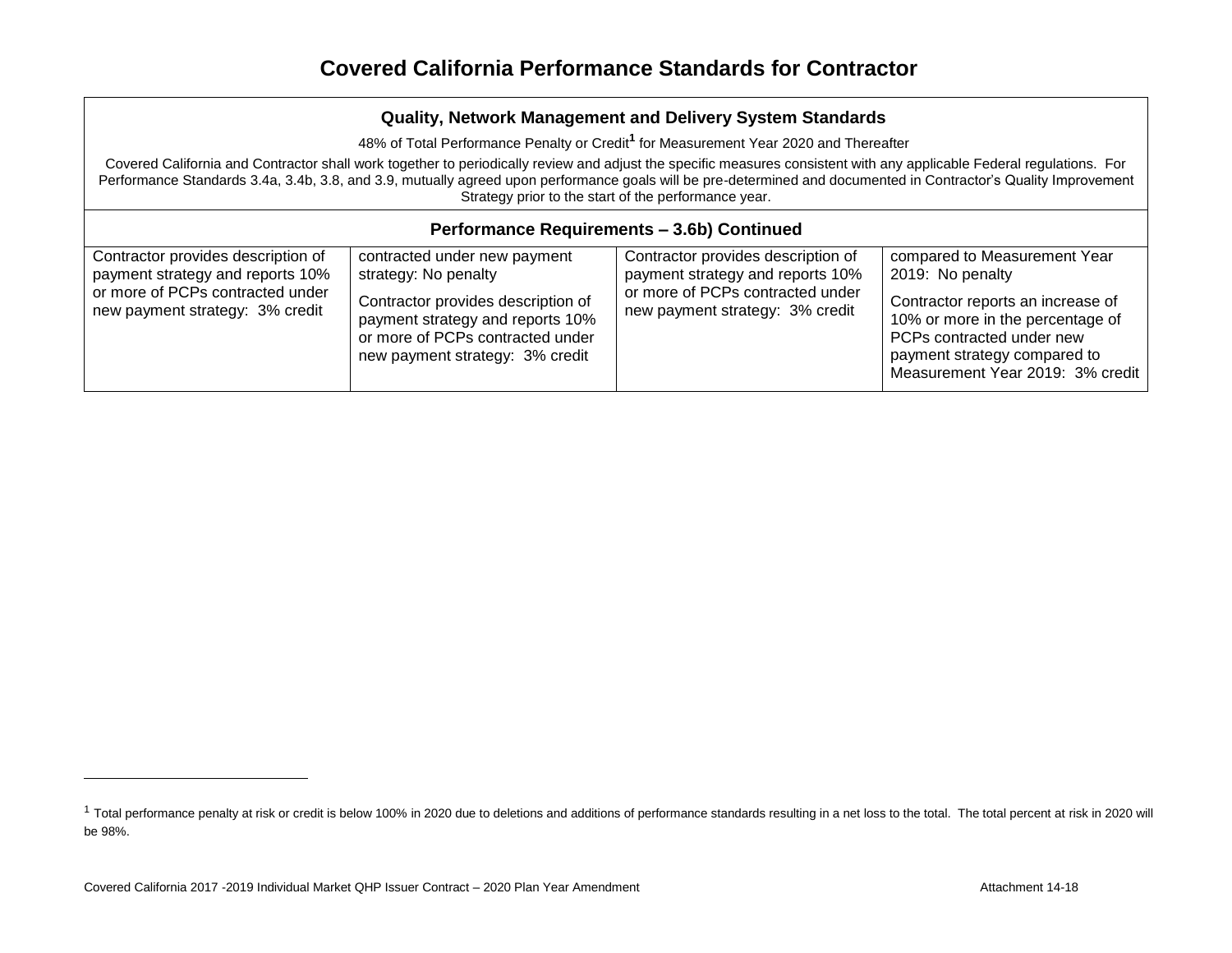48% of Total Performance Penalty or Credit**<sup>1</sup>** for Measurement Year 2020 and Thereafter

Covered California and Contractor shall work together to periodically review and adjust the specific measures consistent with any applicable Federal regulations. For Performance Standards 3.4a, 3.4b, 3.8, and 3.9, mutually agreed upon performance goals will be pre-determined and documented in Contractor's Quality Improvement Strategy prior to the start of the performance year.

| Performance Requirements - 3.6b) Continued                                                                                                    |                                                                                                                                                                                                       |                                                                                                                                               |                                                                                                                                                                                                                            |  |  |  |  |
|-----------------------------------------------------------------------------------------------------------------------------------------------|-------------------------------------------------------------------------------------------------------------------------------------------------------------------------------------------------------|-----------------------------------------------------------------------------------------------------------------------------------------------|----------------------------------------------------------------------------------------------------------------------------------------------------------------------------------------------------------------------------|--|--|--|--|
| Contractor provides description of<br>payment strategy and reports 10%<br>or more of PCPs contracted under<br>new payment strategy: 3% credit | contracted under new payment<br>strategy: No penalty<br>Contractor provides description of<br>payment strategy and reports 10%<br>or more of PCPs contracted under<br>new payment strategy: 3% credit | Contractor provides description of<br>payment strategy and reports 10%<br>or more of PCPs contracted under<br>new payment strategy: 3% credit | compared to Measurement Year<br>2019: No penalty<br>Contractor reports an increase of<br>10% or more in the percentage of<br>PCPs contracted under new<br>payment strategy compared to<br>Measurement Year 2019: 3% credit |  |  |  |  |

<sup>&</sup>lt;sup>1</sup> Total performance penalty at risk or credit is below 100% in 2020 due to deletions and additions of performance standards resulting in a net loss to the total. The total percent at risk in 2020 will be 98%.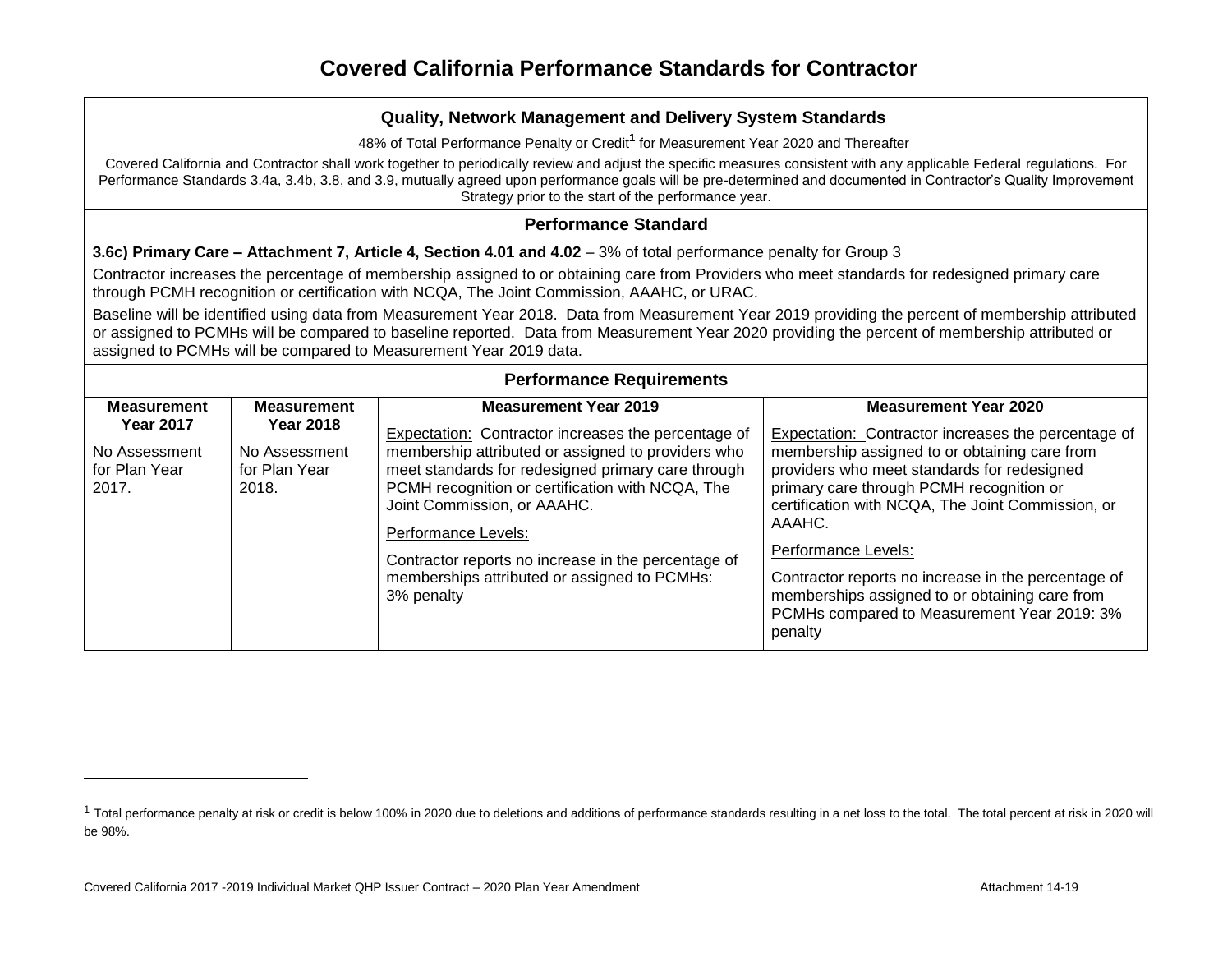48% of Total Performance Penalty or Credit**<sup>1</sup>** for Measurement Year 2020 and Thereafter

Covered California and Contractor shall work together to periodically review and adjust the specific measures consistent with any applicable Federal regulations. For Performance Standards 3.4a, 3.4b, 3.8, and 3.9, mutually agreed upon performance goals will be pre-determined and documented in Contractor's Quality Improvement Strategy prior to the start of the performance year.

#### **Performance Standard**

**3.6c) Primary Care – Attachment 7, Article 4, Section 4.01 and 4.02 – 3% of total performance penalty for Group 3** 

Contractor increases the percentage of membership assigned to or obtaining care from Providers who meet standards for redesigned primary care through PCMH recognition or certification with NCQA, The Joint Commission, AAAHC, or URAC.

Baseline will be identified using data from Measurement Year 2018. Data from Measurement Year 2019 providing the percent of membership attributed or assigned to PCMHs will be compared to baseline reported. Data from Measurement Year 2020 providing the percent of membership attributed or assigned to PCMHs will be compared to Measurement Year 2019 data.

| <b>Performance Requirements</b>                                                   |                                                                                   |                                                                                                                                                                                                                                                                                                                                                                                                                                |                                                                                                                                                                                                                                                                                                                                                                                                                                                                                          |  |  |  |
|-----------------------------------------------------------------------------------|-----------------------------------------------------------------------------------|--------------------------------------------------------------------------------------------------------------------------------------------------------------------------------------------------------------------------------------------------------------------------------------------------------------------------------------------------------------------------------------------------------------------------------|------------------------------------------------------------------------------------------------------------------------------------------------------------------------------------------------------------------------------------------------------------------------------------------------------------------------------------------------------------------------------------------------------------------------------------------------------------------------------------------|--|--|--|
| <b>Measurement</b><br><b>Year 2017</b><br>No Assessment<br>for Plan Year<br>2017. | <b>Measurement</b><br><b>Year 2018</b><br>No Assessment<br>for Plan Year<br>2018. | <b>Measurement Year 2019</b><br>Expectation: Contractor increases the percentage of<br>membership attributed or assigned to providers who<br>meet standards for redesigned primary care through<br>PCMH recognition or certification with NCQA, The<br>Joint Commission, or AAAHC.<br>Performance Levels:<br>Contractor reports no increase in the percentage of<br>memberships attributed or assigned to PCMHs:<br>3% penalty | <b>Measurement Year 2020</b><br>Expectation: Contractor increases the percentage of<br>membership assigned to or obtaining care from<br>providers who meet standards for redesigned<br>primary care through PCMH recognition or<br>certification with NCQA, The Joint Commission, or<br>AAAHC.<br>Performance Levels:<br>Contractor reports no increase in the percentage of<br>memberships assigned to or obtaining care from<br>PCMHs compared to Measurement Year 2019: 3%<br>penalty |  |  |  |

<sup>&</sup>lt;sup>1</sup> Total performance penalty at risk or credit is below 100% in 2020 due to deletions and additions of performance standards resulting in a net loss to the total. The total percent at risk in 2020 will be 98%.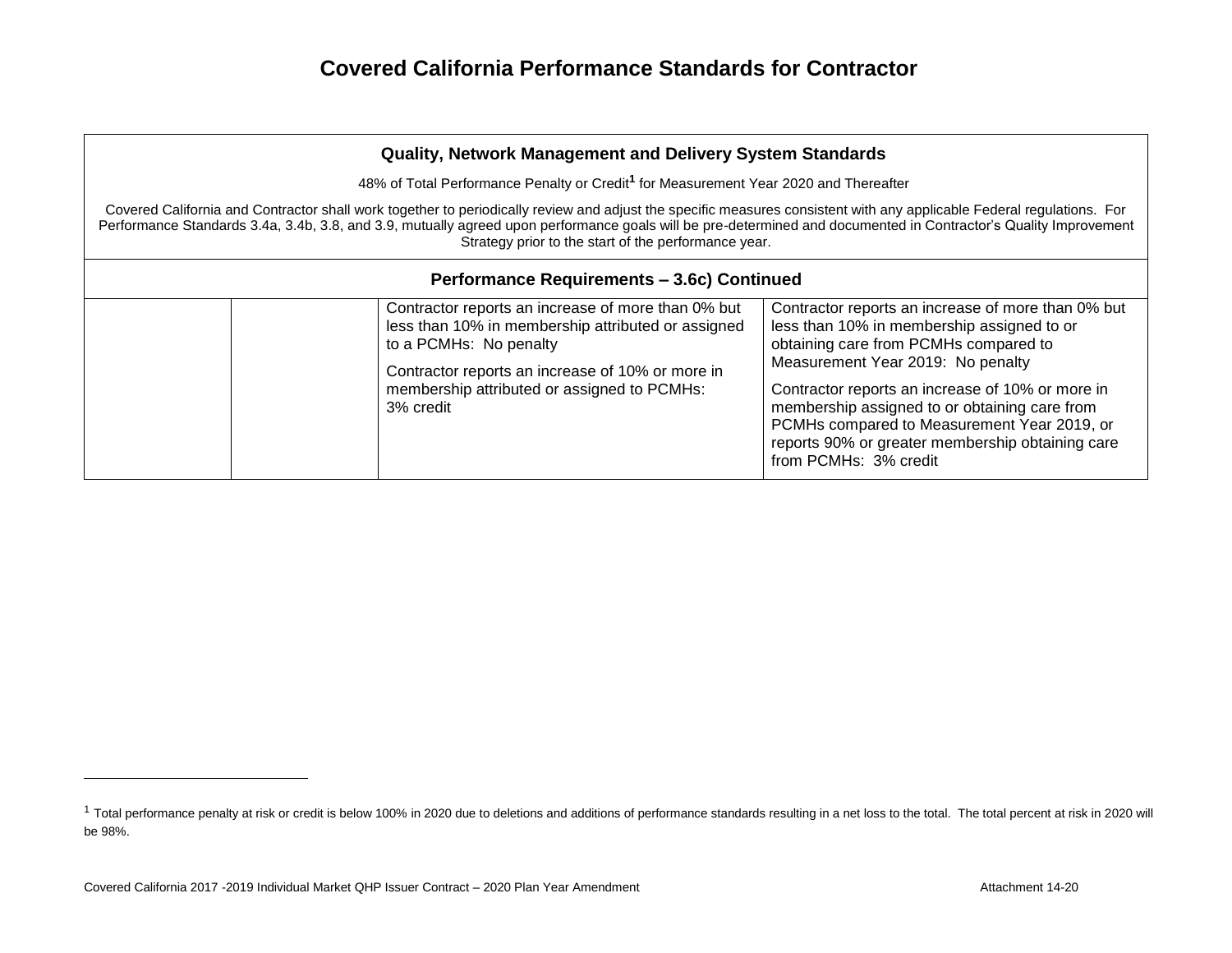| <b>Quality, Network Management and Delivery System Standards</b>                                                                                                                                                                                                                                                                                                                                  |                                                                                                                                                                                                                                                    |                                                                                                                                                                                                                                                                                                                                                                                                                              |  |  |  |  |
|---------------------------------------------------------------------------------------------------------------------------------------------------------------------------------------------------------------------------------------------------------------------------------------------------------------------------------------------------------------------------------------------------|----------------------------------------------------------------------------------------------------------------------------------------------------------------------------------------------------------------------------------------------------|------------------------------------------------------------------------------------------------------------------------------------------------------------------------------------------------------------------------------------------------------------------------------------------------------------------------------------------------------------------------------------------------------------------------------|--|--|--|--|
|                                                                                                                                                                                                                                                                                                                                                                                                   | 48% of Total Performance Penalty or Credit <sup>1</sup> for Measurement Year 2020 and Thereafter                                                                                                                                                   |                                                                                                                                                                                                                                                                                                                                                                                                                              |  |  |  |  |
| Covered California and Contractor shall work together to periodically review and adjust the specific measures consistent with any applicable Federal regulations. For<br>Performance Standards 3.4a, 3.4b, 3.8, and 3.9, mutually agreed upon performance goals will be pre-determined and documented in Contractor's Quality Improvement<br>Strategy prior to the start of the performance year. |                                                                                                                                                                                                                                                    |                                                                                                                                                                                                                                                                                                                                                                                                                              |  |  |  |  |
|                                                                                                                                                                                                                                                                                                                                                                                                   | Performance Requirements - 3.6c) Continued                                                                                                                                                                                                         |                                                                                                                                                                                                                                                                                                                                                                                                                              |  |  |  |  |
|                                                                                                                                                                                                                                                                                                                                                                                                   | Contractor reports an increase of more than 0% but<br>less than 10% in membership attributed or assigned<br>to a PCMHs: No penalty<br>Contractor reports an increase of 10% or more in<br>membership attributed or assigned to PCMHs:<br>3% credit | Contractor reports an increase of more than 0% but<br>less than 10% in membership assigned to or<br>obtaining care from PCMHs compared to<br>Measurement Year 2019: No penalty<br>Contractor reports an increase of 10% or more in<br>membership assigned to or obtaining care from<br>PCMHs compared to Measurement Year 2019, or<br>reports 90% or greater membership obtaining care<br>from PCMH <sub>s</sub> : 3% credit |  |  |  |  |

<sup>&</sup>lt;sup>1</sup> Total performance penalty at risk or credit is below 100% in 2020 due to deletions and additions of performance standards resulting in a net loss to the total. The total percent at risk in 2020 will be 98%.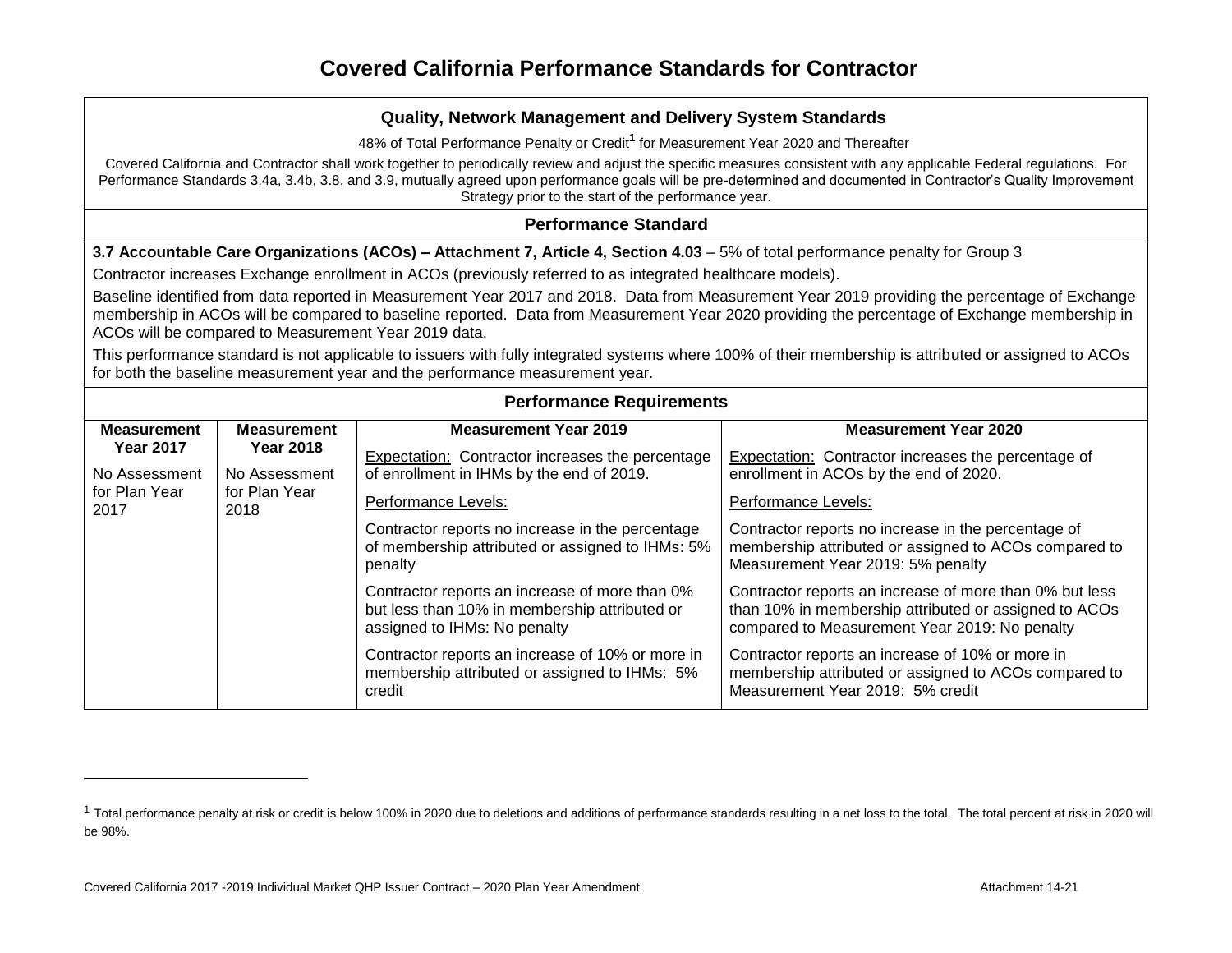48% of Total Performance Penalty or Credit**<sup>1</sup>** for Measurement Year 2020 and Thereafter

Covered California and Contractor shall work together to periodically review and adjust the specific measures consistent with any applicable Federal regulations. For Performance Standards 3.4a, 3.4b, 3.8, and 3.9, mutually agreed upon performance goals will be pre-determined and documented in Contractor's Quality Improvement Strategy prior to the start of the performance year.

#### **Performance Standard**

**3.7 Accountable Care Organizations (ACOs) – Attachment 7, Article 4, Section 4.03** – 5% of total performance penalty for Group 3

Contractor increases Exchange enrollment in ACOs (previously referred to as integrated healthcare models).

Baseline identified from data reported in Measurement Year 2017 and 2018. Data from Measurement Year 2019 providing the percentage of Exchange membership in ACOs will be compared to baseline reported. Data from Measurement Year 2020 providing the percentage of Exchange membership in ACOs will be compared to Measurement Year 2019 data.

This performance standard is not applicable to issuers with fully integrated systems where 100% of their membership is attributed or assigned to ACOs for both the baseline measurement year and the performance measurement year.

#### **Performance Requirements**

| <b>Measurement</b>                                                                                                       | <b>Measurement</b>                                                                                              | <b>Measurement Year 2019</b>                                                                                                                      | <b>Measurement Year 2020</b>                                                                                                                                      |
|--------------------------------------------------------------------------------------------------------------------------|-----------------------------------------------------------------------------------------------------------------|---------------------------------------------------------------------------------------------------------------------------------------------------|-------------------------------------------------------------------------------------------------------------------------------------------------------------------|
| <b>Year 2018</b><br><b>Year 2017</b><br>No Assessment<br>No Assessment<br>for Plan Year<br>for Plan Year<br>2017<br>2018 | Expectation: Contractor increases the percentage<br>of enrollment in IHMs by the end of 2019.                   | Expectation: Contractor increases the percentage of<br>enrollment in ACOs by the end of 2020.                                                     |                                                                                                                                                                   |
|                                                                                                                          | Performance Levels:                                                                                             | Performance Levels:                                                                                                                               |                                                                                                                                                                   |
|                                                                                                                          | Contractor reports no increase in the percentage<br>of membership attributed or assigned to IHMs: 5%<br>penalty | Contractor reports no increase in the percentage of<br>membership attributed or assigned to ACOs compared to<br>Measurement Year 2019: 5% penalty |                                                                                                                                                                   |
|                                                                                                                          |                                                                                                                 | Contractor reports an increase of more than 0%<br>but less than 10% in membership attributed or<br>assigned to IHMs: No penalty                   | Contractor reports an increase of more than 0% but less<br>than 10% in membership attributed or assigned to ACOs<br>compared to Measurement Year 2019: No penalty |
|                                                                                                                          |                                                                                                                 | Contractor reports an increase of 10% or more in<br>membership attributed or assigned to IHMs: 5%<br>credit                                       | Contractor reports an increase of 10% or more in<br>membership attributed or assigned to ACOs compared to<br>Measurement Year 2019: 5% credit                     |

<sup>&</sup>lt;sup>1</sup> Total performance penalty at risk or credit is below 100% in 2020 due to deletions and additions of performance standards resulting in a net loss to the total. The total percent at risk in 2020 will be 98%.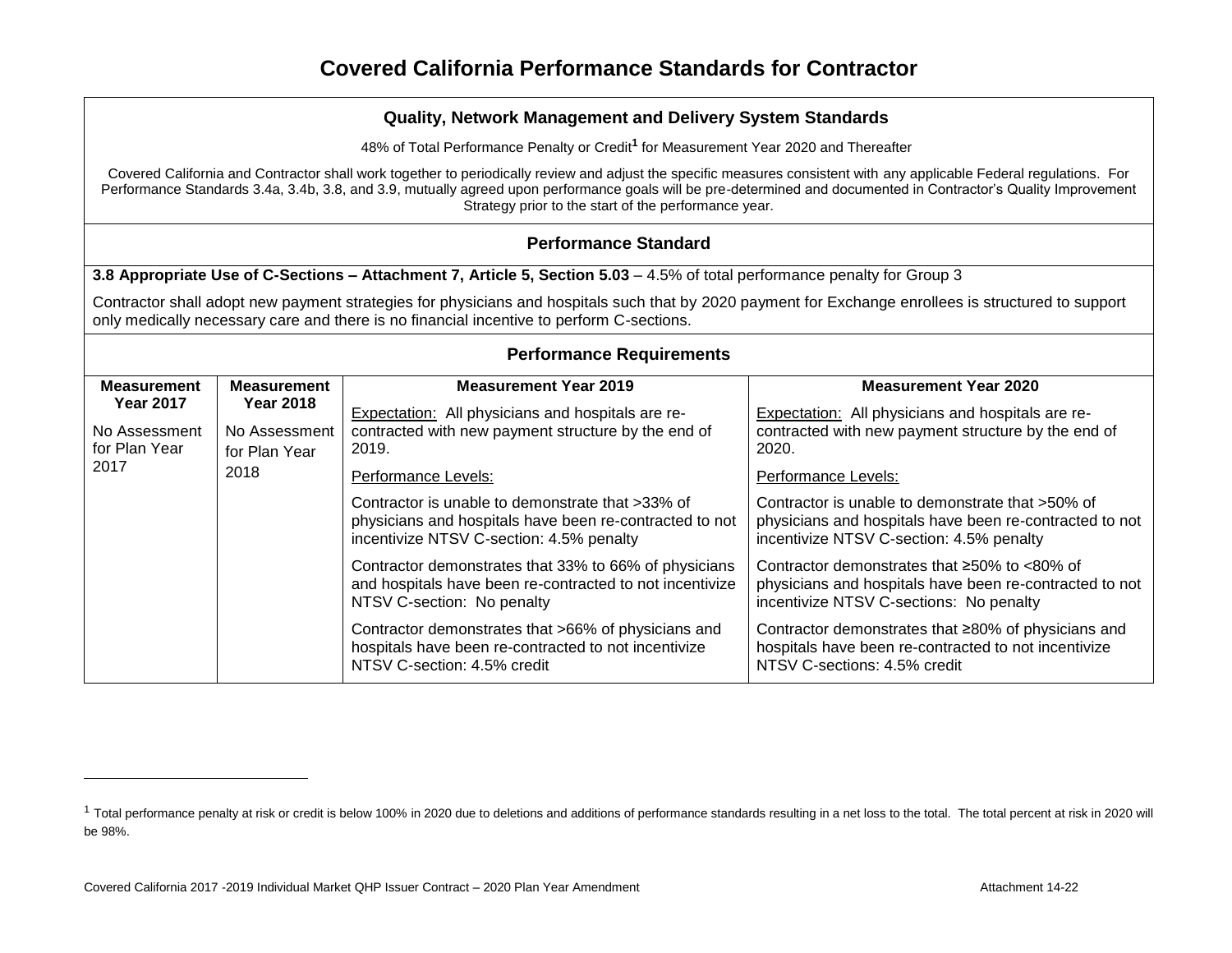48% of Total Performance Penalty or Credit**<sup>1</sup>** for Measurement Year 2020 and Thereafter

Covered California and Contractor shall work together to periodically review and adjust the specific measures consistent with any applicable Federal regulations. For Performance Standards 3.4a, 3.4b, 3.8, and 3.9, mutually agreed upon performance goals will be pre-determined and documented in Contractor's Quality Improvement Strategy prior to the start of the performance year.

## **Performance Standard**

**3.8 Appropriate Use of C-Sections – Attachment 7, Article 5, Section 5.03** – 4.5% of total performance penalty for Group 3

Contractor shall adopt new payment strategies for physicians and hospitals such that by 2020 payment for Exchange enrollees is structured to support only medically necessary care and there is no financial incentive to perform C-sections.

| <b>Performance Requirements</b>                                                                         |                    |                                                                                                                                                         |                                                                                                                                                                 |  |  |  |  |
|---------------------------------------------------------------------------------------------------------|--------------------|---------------------------------------------------------------------------------------------------------------------------------------------------------|-----------------------------------------------------------------------------------------------------------------------------------------------------------------|--|--|--|--|
| <b>Measurement</b>                                                                                      | <b>Measurement</b> | <b>Measurement Year 2019</b>                                                                                                                            | <b>Measurement Year 2020</b>                                                                                                                                    |  |  |  |  |
| <b>Year 2017</b><br><b>Year 2018</b><br>No Assessment<br>for Plan Year<br>for Plan Year<br>2017<br>2018 | No Assessment      | Expectation: All physicians and hospitals are re-<br>contracted with new payment structure by the end of<br>2019.                                       | Expectation: All physicians and hospitals are re-<br>contracted with new payment structure by the end of<br>2020.                                               |  |  |  |  |
|                                                                                                         |                    | Performance Levels:                                                                                                                                     | Performance Levels:                                                                                                                                             |  |  |  |  |
|                                                                                                         |                    | Contractor is unable to demonstrate that >33% of<br>physicians and hospitals have been re-contracted to not<br>incentivize NTSV C-section: 4.5% penalty | Contractor is unable to demonstrate that >50% of<br>physicians and hospitals have been re-contracted to not<br>incentivize NTSV C-section: 4.5% penalty         |  |  |  |  |
|                                                                                                         |                    | Contractor demonstrates that 33% to 66% of physicians<br>and hospitals have been re-contracted to not incentivize<br>NTSV C-section: No penalty         | Contractor demonstrates that $\geq 50\%$ to $\lt 80\%$ of<br>physicians and hospitals have been re-contracted to not<br>incentivize NTSV C-sections: No penalty |  |  |  |  |
|                                                                                                         |                    | Contractor demonstrates that >66% of physicians and<br>hospitals have been re-contracted to not incentivize<br>NTSV C-section: 4.5% credit              | Contractor demonstrates that ≥80% of physicians and<br>hospitals have been re-contracted to not incentivize<br>NTSV C-sections: 4.5% credit                     |  |  |  |  |

<sup>&</sup>lt;sup>1</sup> Total performance penalty at risk or credit is below 100% in 2020 due to deletions and additions of performance standards resulting in a net loss to the total. The total percent at risk in 2020 will be 98%.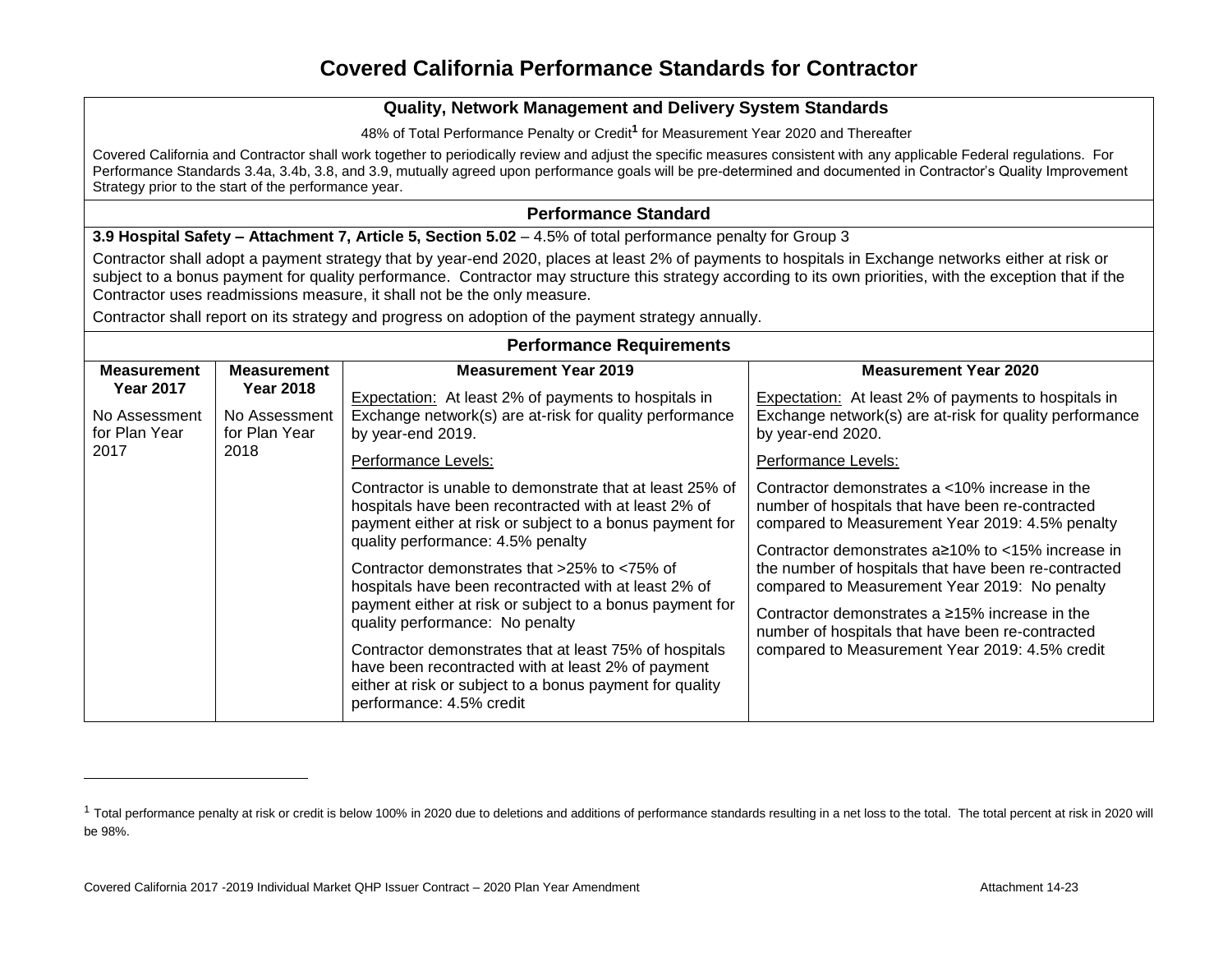#### **Quality, Network Management and Delivery System Standards**

48% of Total Performance Penalty or Credit**<sup>1</sup>** for Measurement Year 2020 and Thereafter

Covered California and Contractor shall work together to periodically review and adjust the specific measures consistent with any applicable Federal regulations. For Performance Standards 3.4a, 3.4b, 3.8, and 3.9, mutually agreed upon performance goals will be pre-determined and documented in Contractor's Quality Improvement Strategy prior to the start of the performance year.

#### **Performance Standard**

**3.9 Hospital Safety – Attachment 7, Article 5, Section 5.02 – 4.5% of total performance penalty for Group 3** 

Contractor shall adopt a payment strategy that by year-end 2020, places at least 2% of payments to hospitals in Exchange networks either at risk or subject to a bonus payment for quality performance. Contractor may structure this strategy according to its own priorities, with the exception that if the Contractor uses readmissions measure, it shall not be the only measure.

Contractor shall report on its strategy and progress on adoption of the payment strategy annually.

| <b>Performance Requirements</b>                                                                                          |                                                                                                                                             |                                                                                                                                                                                                                                                                                                                                                                                             |                                                                                                                                                                                                                                                                                                                                  |  |  |  |
|--------------------------------------------------------------------------------------------------------------------------|---------------------------------------------------------------------------------------------------------------------------------------------|---------------------------------------------------------------------------------------------------------------------------------------------------------------------------------------------------------------------------------------------------------------------------------------------------------------------------------------------------------------------------------------------|----------------------------------------------------------------------------------------------------------------------------------------------------------------------------------------------------------------------------------------------------------------------------------------------------------------------------------|--|--|--|
| <b>Measurement</b>                                                                                                       | <b>Measurement</b>                                                                                                                          | <b>Measurement Year 2019</b>                                                                                                                                                                                                                                                                                                                                                                | <b>Measurement Year 2020</b>                                                                                                                                                                                                                                                                                                     |  |  |  |
| <b>Year 2017</b><br><b>Year 2018</b><br>No Assessment<br>No Assessment<br>for Plan Year<br>for Plan Year<br>2018<br>2017 | <b>Expectation:</b> At least 2% of payments to hospitals in<br>Exchange network(s) are at-risk for quality performance<br>by year-end 2019. | <b>Expectation:</b> At least 2% of payments to hospitals in<br>Exchange network(s) are at-risk for quality performance<br>by year-end 2020.                                                                                                                                                                                                                                                 |                                                                                                                                                                                                                                                                                                                                  |  |  |  |
|                                                                                                                          |                                                                                                                                             | Performance Levels:                                                                                                                                                                                                                                                                                                                                                                         | Performance Levels:                                                                                                                                                                                                                                                                                                              |  |  |  |
|                                                                                                                          |                                                                                                                                             | Contractor is unable to demonstrate that at least 25% of<br>hospitals have been recontracted with at least 2% of<br>payment either at risk or subject to a bonus payment for<br>quality performance: 4.5% penalty<br>Contractor demonstrates that $>25\%$ to $<75\%$ of<br>hospitals have been recontracted with at least 2% of<br>payment either at risk or subject to a bonus payment for | Contractor demonstrates a <10% increase in the<br>number of hospitals that have been re-contracted<br>compared to Measurement Year 2019: 4.5% penalty<br>Contractor demonstrates $a \ge 10\%$ to $\lt 15\%$ increase in<br>the number of hospitals that have been re-contracted<br>compared to Measurement Year 2019: No penalty |  |  |  |
|                                                                                                                          |                                                                                                                                             | quality performance: No penalty                                                                                                                                                                                                                                                                                                                                                             | Contractor demonstrates a $\geq$ 15% increase in the<br>number of hospitals that have been re-contracted                                                                                                                                                                                                                         |  |  |  |
|                                                                                                                          |                                                                                                                                             | Contractor demonstrates that at least 75% of hospitals<br>have been recontracted with at least 2% of payment<br>either at risk or subject to a bonus payment for quality<br>performance: 4.5% credit                                                                                                                                                                                        | compared to Measurement Year 2019: 4.5% credit                                                                                                                                                                                                                                                                                   |  |  |  |

<sup>&</sup>lt;sup>1</sup> Total performance penalty at risk or credit is below 100% in 2020 due to deletions and additions of performance standards resulting in a net loss to the total. The total percent at risk in 2020 will be 98%.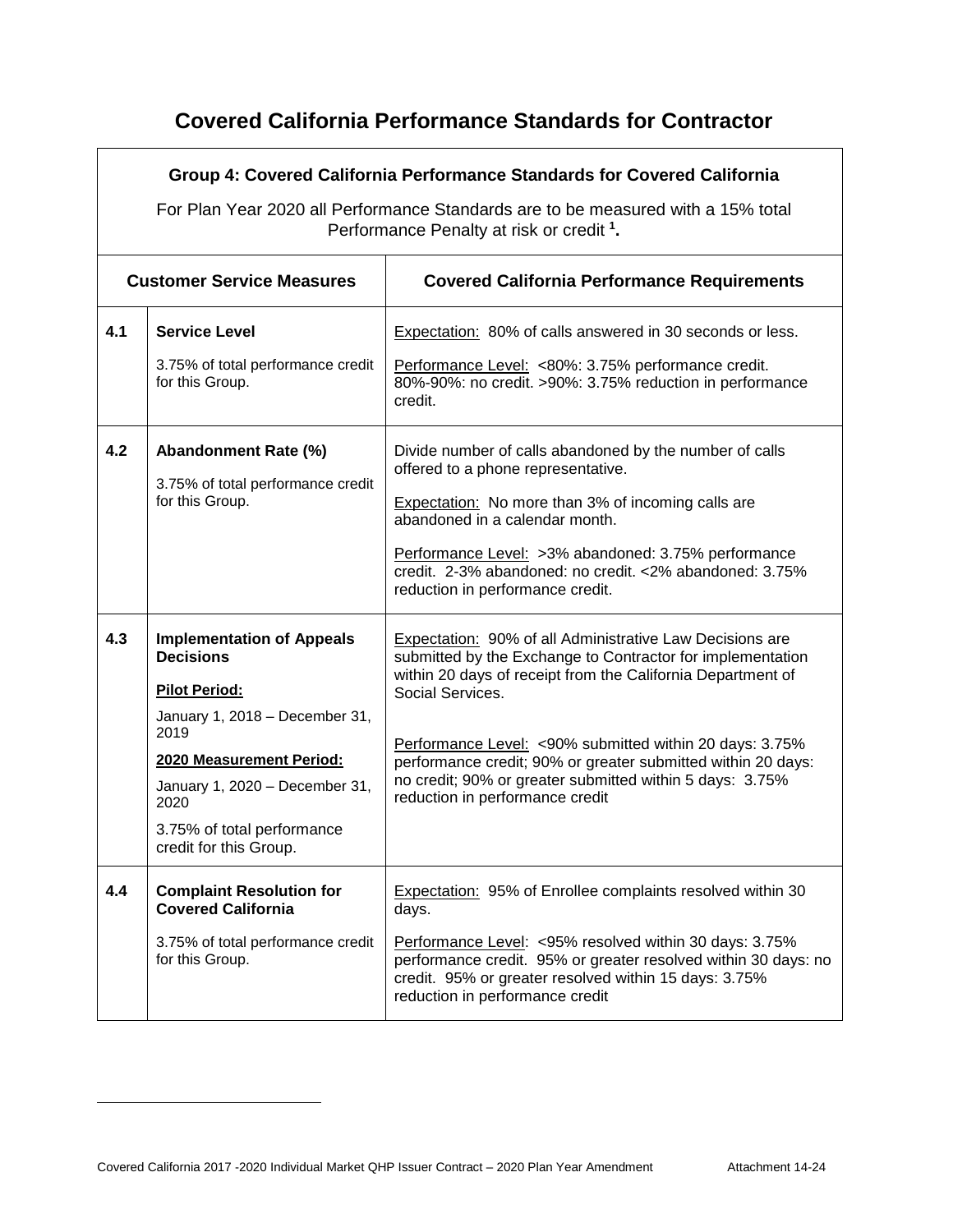|     | Group 4: Covered California Performance Standards for Covered California<br>For Plan Year 2020 all Performance Standards are to be measured with a 15% total<br>Performance Penalty at risk or credit <sup>1</sup> .                                 |                                                                                                                                                                                                                                                                                                                                                                                                                                     |  |  |  |
|-----|------------------------------------------------------------------------------------------------------------------------------------------------------------------------------------------------------------------------------------------------------|-------------------------------------------------------------------------------------------------------------------------------------------------------------------------------------------------------------------------------------------------------------------------------------------------------------------------------------------------------------------------------------------------------------------------------------|--|--|--|
|     | <b>Customer Service Measures</b><br><b>Covered California Performance Requirements</b>                                                                                                                                                               |                                                                                                                                                                                                                                                                                                                                                                                                                                     |  |  |  |
| 4.1 | <b>Service Level</b><br>3.75% of total performance credit<br>for this Group.                                                                                                                                                                         | Expectation: 80% of calls answered in 30 seconds or less.<br>Performance Level: <80%: 3.75% performance credit.<br>80%-90%: no credit. >90%: 3.75% reduction in performance<br>credit.                                                                                                                                                                                                                                              |  |  |  |
| 4.2 | Abandonment Rate (%)<br>3.75% of total performance credit<br>for this Group.                                                                                                                                                                         | Divide number of calls abandoned by the number of calls<br>offered to a phone representative.<br><b>Expectation:</b> No more than 3% of incoming calls are<br>abandoned in a calendar month.<br>Performance Level: >3% abandoned: 3.75% performance<br>credit. 2-3% abandoned: no credit. <2% abandoned: 3.75%<br>reduction in performance credit.                                                                                  |  |  |  |
| 4.3 | <b>Implementation of Appeals</b><br><b>Decisions</b><br><b>Pilot Period:</b><br>January 1, 2018 - December 31,<br>2019<br>2020 Measurement Period:<br>January 1, 2020 - December 31,<br>2020<br>3.75% of total performance<br>credit for this Group. | Expectation: 90% of all Administrative Law Decisions are<br>submitted by the Exchange to Contractor for implementation<br>within 20 days of receipt from the California Department of<br>Social Services.<br>Performance Level: <90% submitted within 20 days: 3.75%<br>performance credit; 90% or greater submitted within 20 days:<br>no credit; 90% or greater submitted within 5 days: 3.75%<br>reduction in performance credit |  |  |  |
| 4.4 | <b>Complaint Resolution for</b><br><b>Covered California</b><br>3.75% of total performance credit<br>for this Group.                                                                                                                                 | <b>Expectation: 95% of Enrollee complaints resolved within 30</b><br>days.<br>Performance Level: <95% resolved within 30 days: 3.75%<br>performance credit. 95% or greater resolved within 30 days: no<br>credit. 95% or greater resolved within 15 days: 3.75%<br>reduction in performance credit                                                                                                                                  |  |  |  |

 $\overline{a}$ 

 $\mathbf{r}$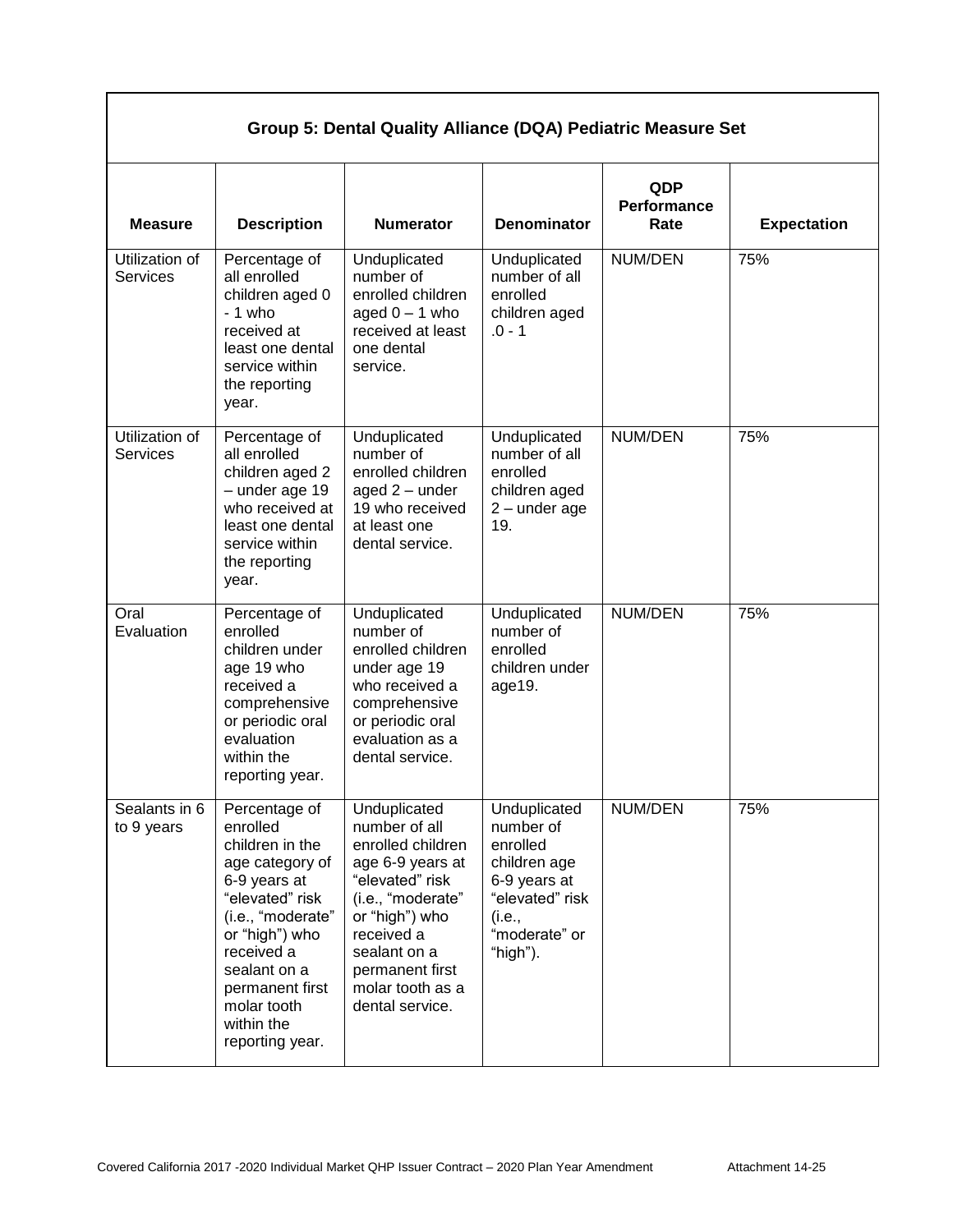| Group 5: Dental Quality Alliance (DQA) Pediatric Measure Set |                                                                                                                                                                                                                                            |                                                                                                                                                                                                                          |                                                                                                                                 |                                   |                    |
|--------------------------------------------------------------|--------------------------------------------------------------------------------------------------------------------------------------------------------------------------------------------------------------------------------------------|--------------------------------------------------------------------------------------------------------------------------------------------------------------------------------------------------------------------------|---------------------------------------------------------------------------------------------------------------------------------|-----------------------------------|--------------------|
| <b>Measure</b>                                               | <b>Description</b>                                                                                                                                                                                                                         | <b>Numerator</b>                                                                                                                                                                                                         | <b>Denominator</b>                                                                                                              | QDP<br><b>Performance</b><br>Rate | <b>Expectation</b> |
| Utilization of<br><b>Services</b>                            | Percentage of<br>all enrolled<br>children aged 0<br>$-1$ who<br>received at<br>least one dental<br>service within<br>the reporting<br>year.                                                                                                | Unduplicated<br>number of<br>enrolled children<br>aged $0 - 1$ who<br>received at least<br>one dental<br>service.                                                                                                        | Unduplicated<br>number of all<br>enrolled<br>children aged<br>$.0 - 1$                                                          | NUM/DEN                           | 75%                |
| Utilization of<br><b>Services</b>                            | Percentage of<br>all enrolled<br>children aged 2<br>$-$ under age 19<br>who received at<br>least one dental<br>service within<br>the reporting<br>year.                                                                                    | Unduplicated<br>number of<br>enrolled children<br>aged $2$ – under<br>19 who received<br>at least one<br>dental service.                                                                                                 | Unduplicated<br>number of all<br>enrolled<br>children aged<br>$2$ – under age<br>19.                                            | NUM/DEN                           | 75%                |
| Oral<br>Evaluation                                           | Percentage of<br>enrolled<br>children under<br>age 19 who<br>received a<br>comprehensive<br>or periodic oral<br>evaluation<br>within the<br>reporting year.                                                                                | Unduplicated<br>number of<br>enrolled children<br>under age 19<br>who received a<br>comprehensive<br>or periodic oral<br>evaluation as a<br>dental service.                                                              | Unduplicated<br>number of<br>enrolled<br>children under<br>age19.                                                               | NUM/DEN                           | 75%                |
| Sealants in 6<br>to 9 years                                  | Percentage of<br>enrolled<br>children in the<br>age category of<br>6-9 years at<br>"elevated" risk<br>(i.e., "moderate"<br>or "high") who<br>received a<br>sealant on a<br>permanent first<br>molar tooth<br>within the<br>reporting year. | Unduplicated<br>number of all<br>enrolled children<br>age 6-9 years at<br>"elevated" risk<br>(i.e., "moderate"<br>or "high") who<br>received a<br>sealant on a<br>permanent first<br>molar tooth as a<br>dental service. | Unduplicated<br>number of<br>enrolled<br>children age<br>6-9 years at<br>"elevated" risk<br>(i.e.,<br>"moderate" or<br>"high"). | NUM/DEN                           | 75%                |

 $\mathbf{I}$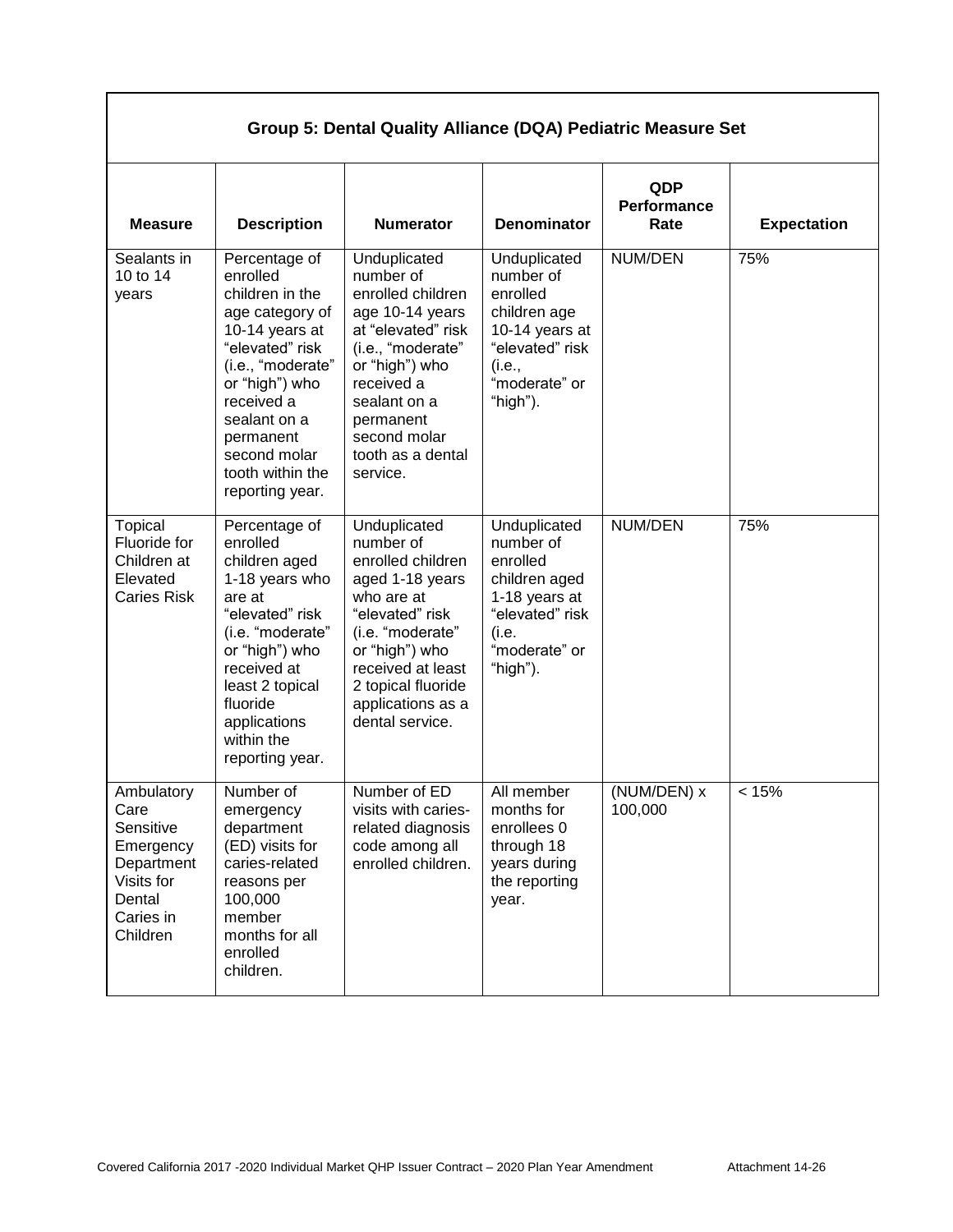| Group 5: Dental Quality Alliance (DQA) Pediatric Measure Set                                                |                                                                                                                                                                                                                                               |                                                                                                                                                                                                                             |                                                                                                                                   |                            |                    |
|-------------------------------------------------------------------------------------------------------------|-----------------------------------------------------------------------------------------------------------------------------------------------------------------------------------------------------------------------------------------------|-----------------------------------------------------------------------------------------------------------------------------------------------------------------------------------------------------------------------------|-----------------------------------------------------------------------------------------------------------------------------------|----------------------------|--------------------|
| <b>Measure</b>                                                                                              | <b>Description</b>                                                                                                                                                                                                                            | <b>Numerator</b>                                                                                                                                                                                                            | <b>Denominator</b>                                                                                                                | QDP<br>Performance<br>Rate | <b>Expectation</b> |
| Sealants in<br>10 to 14<br>years                                                                            | Percentage of<br>enrolled<br>children in the<br>age category of<br>10-14 years at<br>"elevated" risk<br>(i.e., "moderate"<br>or "high") who<br>received a<br>sealant on a<br>permanent<br>second molar<br>tooth within the<br>reporting year. | Unduplicated<br>number of<br>enrolled children<br>age 10-14 years<br>at "elevated" risk<br>(i.e., "moderate"<br>or "high") who<br>received a<br>sealant on a<br>permanent<br>second molar<br>tooth as a dental<br>service.  | Unduplicated<br>number of<br>enrolled<br>children age<br>10-14 years at<br>"elevated" risk<br>(i.e.,<br>"moderate" or<br>"high"). | NUM/DEN                    | 75%                |
| Topical<br>Fluoride for<br>Children at<br>Elevated<br><b>Caries Risk</b>                                    | Percentage of<br>enrolled<br>children aged<br>1-18 years who<br>are at<br>"elevated" risk<br>(i.e. "moderate"<br>or "high") who<br>received at<br>least 2 topical<br>fluoride<br>applications<br>within the<br>reporting year.                | Unduplicated<br>number of<br>enrolled children<br>aged 1-18 years<br>who are at<br>"elevated" risk<br>(i.e. "moderate"<br>or "high") who<br>received at least<br>2 topical fluoride<br>applications as a<br>dental service. | Unduplicated<br>number of<br>enrolled<br>children aged<br>1-18 years at<br>"elevated" risk<br>(i.e.<br>"moderate" or<br>"high").  | NUM/DEN                    | 75%                |
| Ambulatory<br>Care<br>Sensitive<br>Emergency<br>Department<br>Visits for<br>Dental<br>Caries in<br>Children | Number of<br>emergency<br>department<br>(ED) visits for<br>caries-related<br>reasons per<br>100,000<br>member<br>months for all<br>enrolled<br>children.                                                                                      | Number of ED<br>visits with caries-<br>related diagnosis<br>code among all<br>enrolled children.                                                                                                                            | All member<br>months for<br>enrollees 0<br>through 18<br>years during<br>the reporting<br>year.                                   | (NUM/DEN) x<br>100,000     | < 15%              |